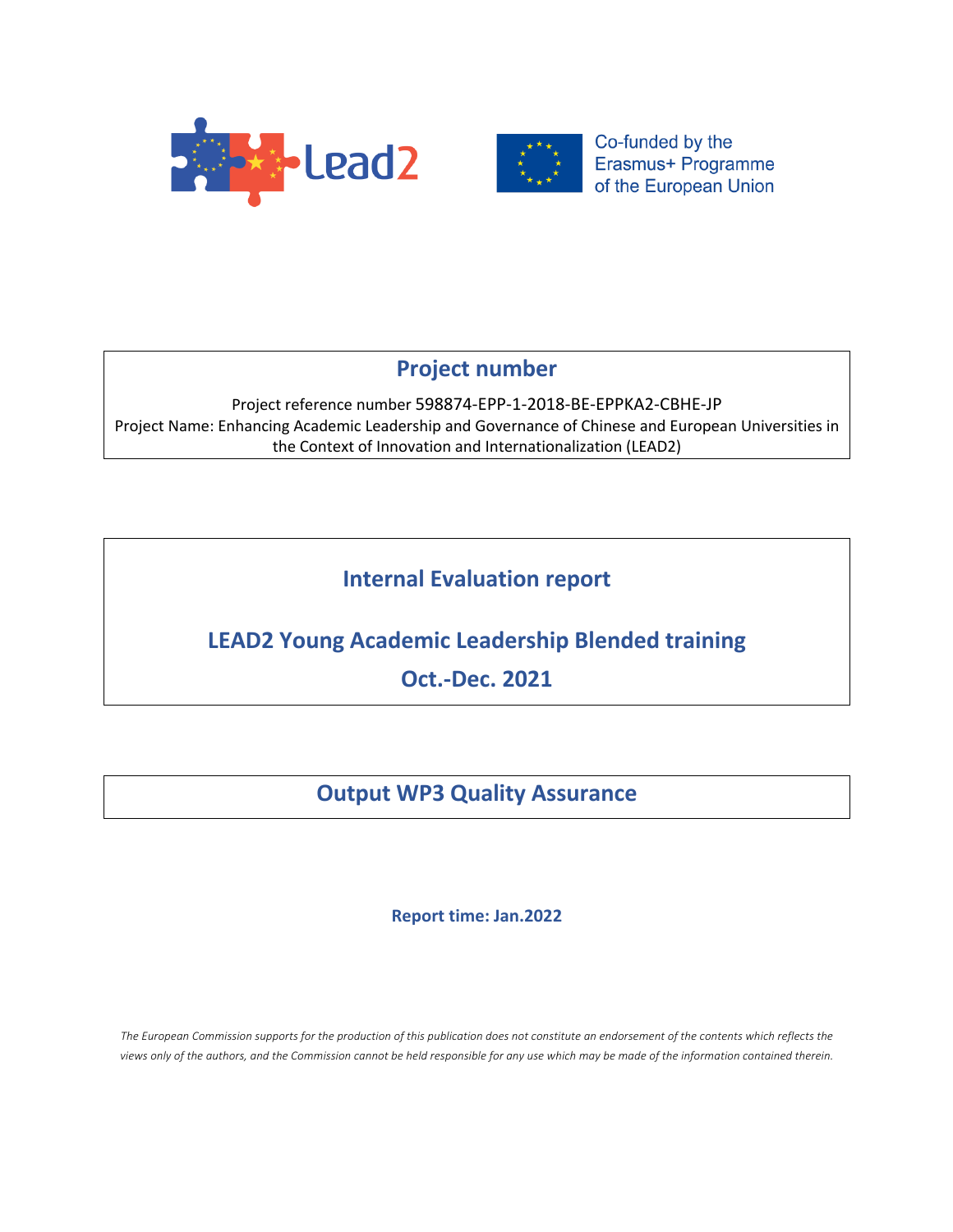



# **Project number**

Project reference number 598874-EPP-1-2018-BE-EPPKA2-CBHE-JP Project Name: Enhancing Academic Leadership and Governance of Chinese and European Universities in the Context of Innovation and Internationalization (LEAD2)

# **Internal Evaluation report**

# **LEAD2 Young Academic Leadership Blended training**

**Oct.-Dec. 2021**

# **Output WP3 Quality Assurance**

# **Report time: Jan.2022**

The European Commission supports for the production of this publication does not constitute an endorsement of the contents which reflects the *views only of the authors, and the Commission cannot be held responsible for any use which may be made of the information contained therein.*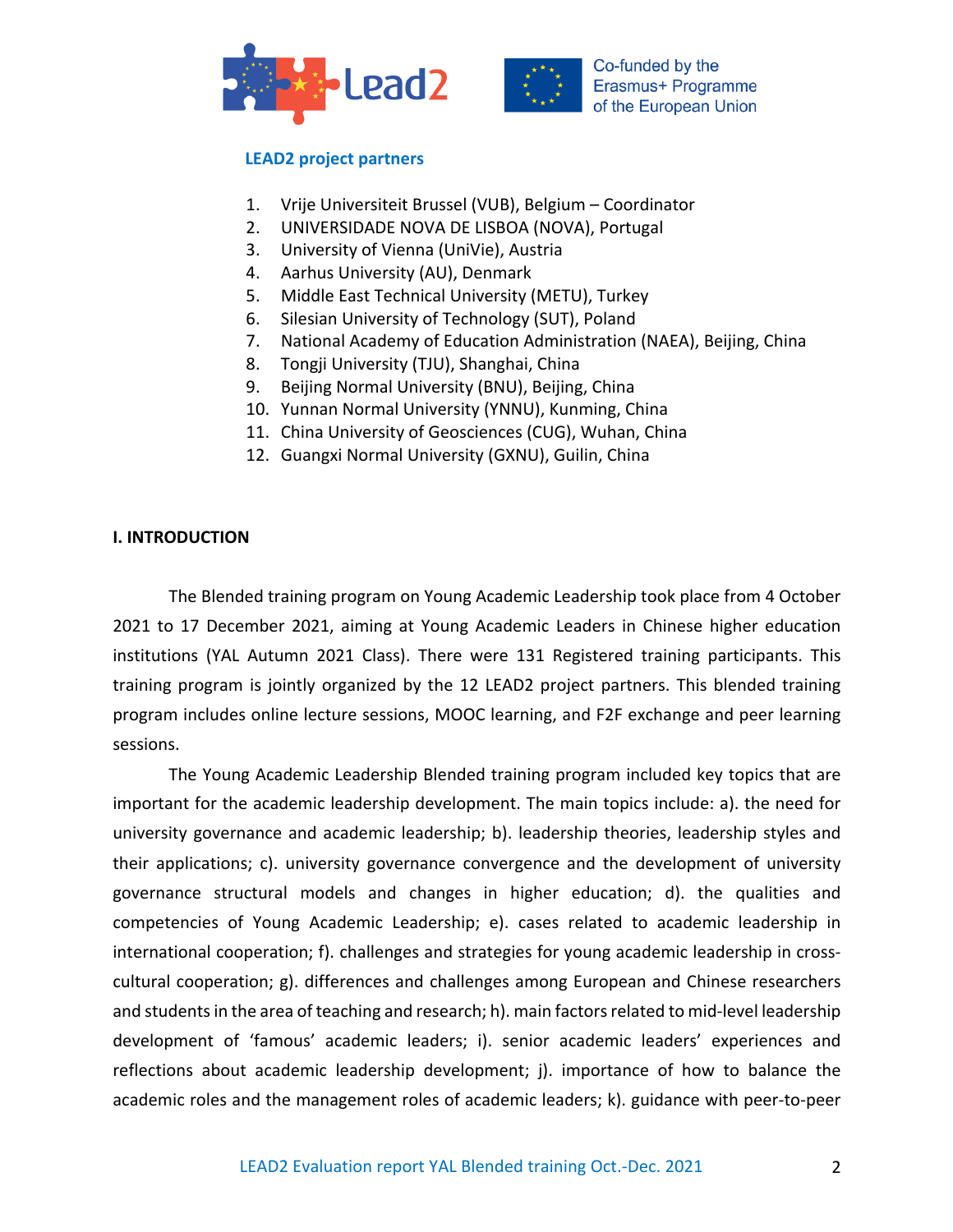



# **LEAD2 project partners**

- 1. Vrije Universiteit Brussel (VUB), Belgium Coordinator
- 2. UNIVERSIDADE NOVA DE LISBOA (NOVA), Portugal
- 3. University of Vienna (UniVie), Austria
- 4. Aarhus University (AU), Denmark
- 5. Middle East Technical University (METU), Turkey
- 6. Silesian University of Technology (SUT), Poland
- 7. National Academy of Education Administration (NAEA), Beijing, China
- 8. Tongji University (TJU), Shanghai, China
- 9. Beijing Normal University (BNU), Beijing, China
- 10. Yunnan Normal University (YNNU), Kunming, China
- 11. China University of Geosciences (CUG), Wuhan, China
- 12. Guangxi Normal University (GXNU), Guilin, China

## **I. INTRODUCTION**

The Blended training program on Young Academic Leadership took place from 4 October 2021 to 17 December 2021, aiming at Young Academic Leaders in Chinese higher education institutions (YAL Autumn 2021 Class). There were 131 Registered training participants. This training program is jointly organized by the 12 LEAD2 project partners. This blended training program includes online lecture sessions, MOOC learning, and F2F exchange and peer learning sessions.

The Young Academic Leadership Blended training program included key topics that are important for the academic leadership development. The main topics include: a). the need for university governance and academic leadership; b). leadership theories, leadership styles and their applications; c). university governance convergence and the development of university governance structural models and changes in higher education; d). the qualities and competencies of Young Academic Leadership; e). cases related to academic leadership in international cooperation; f). challenges and strategies for young academic leadership in crosscultural cooperation; g). differences and challenges among European and Chinese researchers and students in the area of teaching and research; h). main factors related to mid-level leadership development of 'famous' academic leaders; i). senior academic leaders' experiences and reflections about academic leadership development; j). importance of how to balance the academic roles and the management roles of academic leaders; k). guidance with peer-to-peer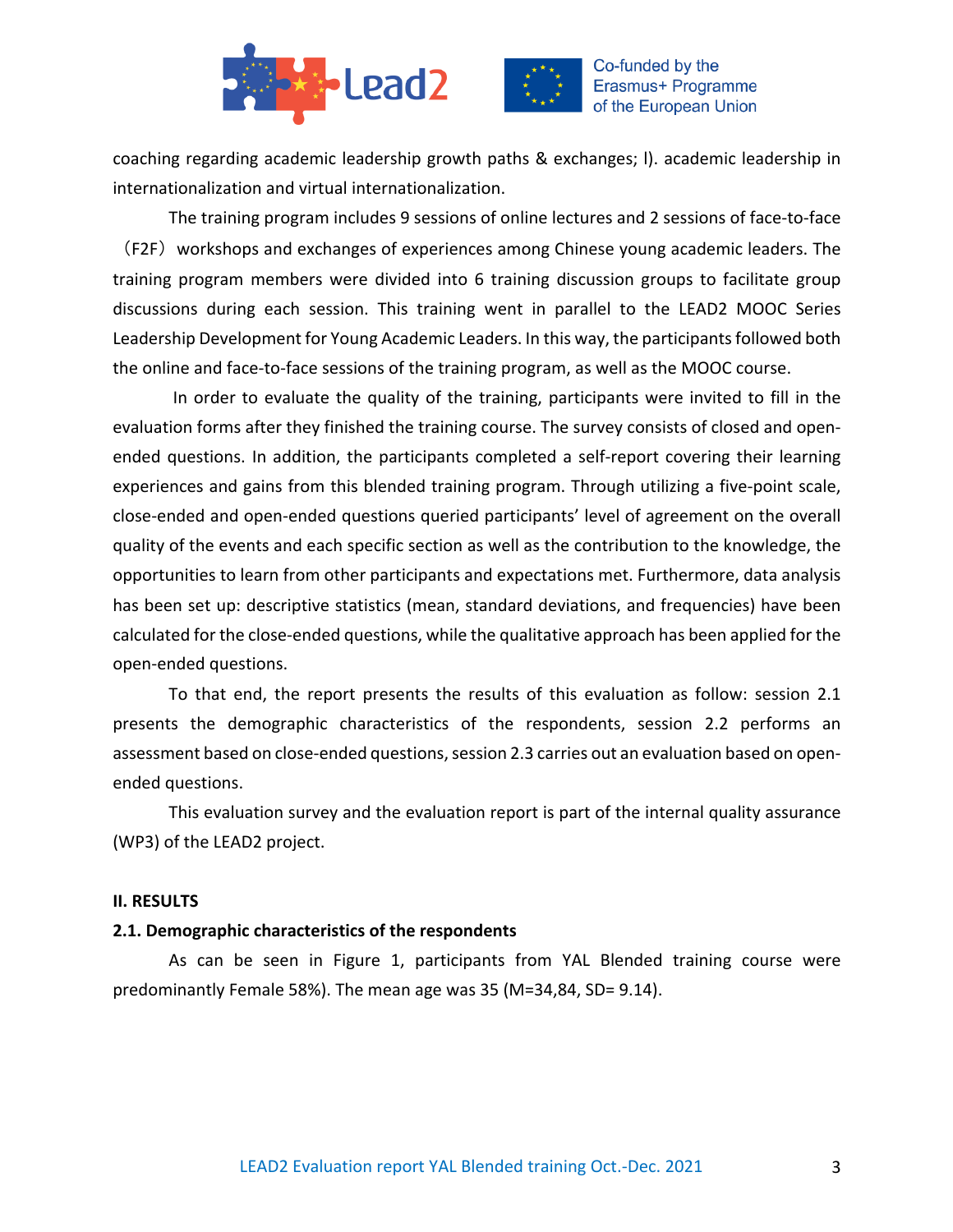



coaching regarding academic leadership growth paths & exchanges; l). academic leadership in internationalization and virtual internationalization.

The training program includes 9 sessions of online lectures and 2 sessions of face-to-face (F2F) workshops and exchanges of experiences among Chinese young academic leaders. The training program members were divided into 6 training discussion groups to facilitate group discussions during each session. This training went in parallel to the LEAD2 MOOC Series Leadership Development for Young Academic Leaders. In this way, the participants followed both the online and face-to-face sessions of the training program, as well as the MOOC course.

In order to evaluate the quality of the training, participants were invited to fill in the evaluation forms after they finished the training course. The survey consists of closed and openended questions. In addition, the participants completed a self-report covering their learning experiences and gains from this blended training program. Through utilizing a five-point scale, close-ended and open-ended questions queried participants' level of agreement on the overall quality of the events and each specific section as well as the contribution to the knowledge, the opportunities to learn from other participants and expectations met. Furthermore, data analysis has been set up: descriptive statistics (mean, standard deviations, and frequencies) have been calculated for the close-ended questions, while the qualitative approach has been applied for the open-ended questions.

To that end, the report presents the results of this evaluation as follow: session 2.1 presents the demographic characteristics of the respondents, session 2.2 performs an assessment based on close-ended questions, session 2.3 carries out an evaluation based on openended questions.

This evaluation survey and the evaluation report is part of the internal quality assurance (WP3) of the LEAD2 project.

### **II. RESULTS**

### **2.1. Demographic characteristics of the respondents**

As can be seen in Figure 1, participants from YAL Blended training course were predominantly Female 58%). The mean age was 35 (M=34,84, SD= 9.14).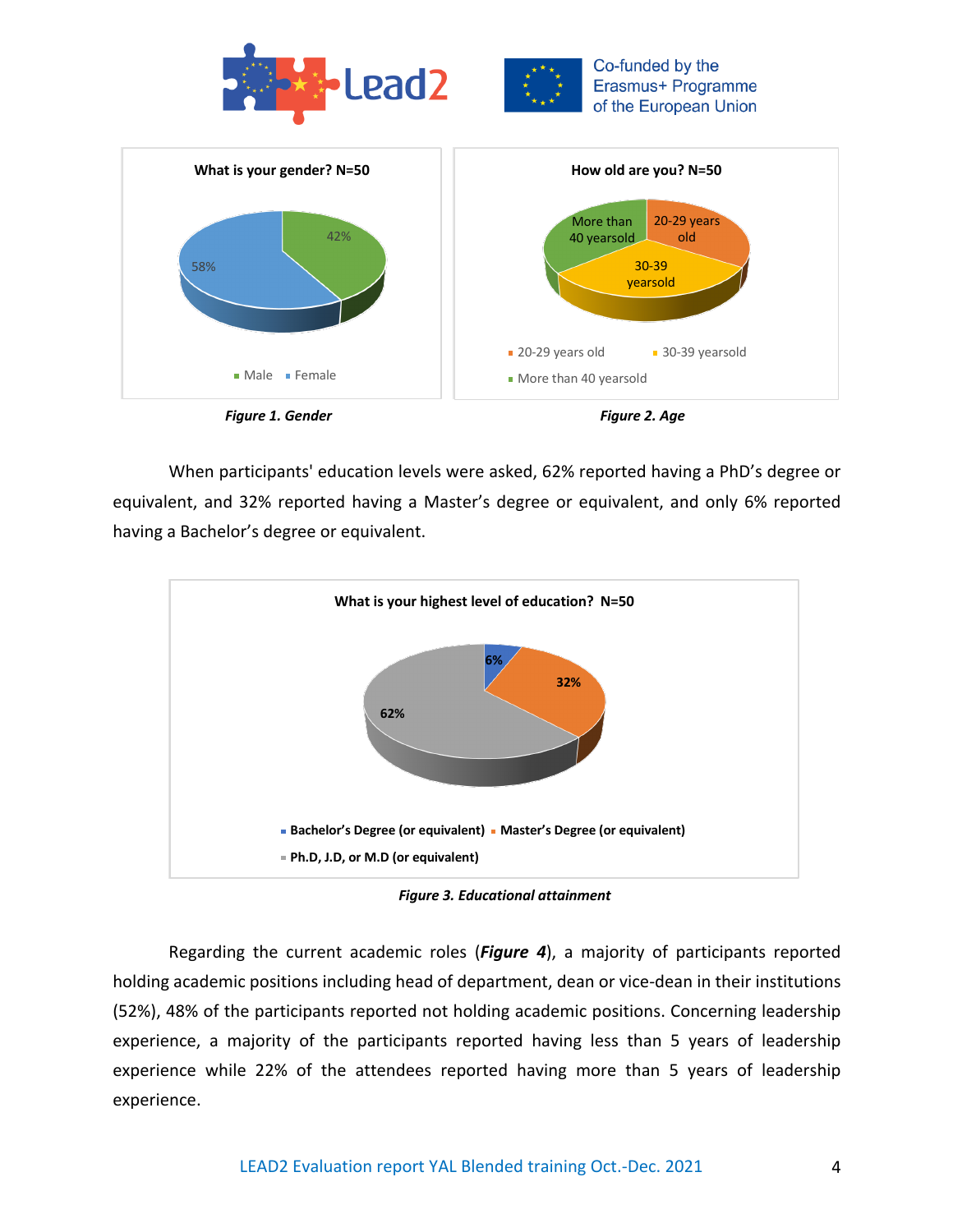





When participants' education levels were asked, 62% reported having a PhD's degree or equivalent, and 32% reported having a Master's degree or equivalent, and only 6% reported having a Bachelor's degree or equivalent.



*Figure 3. Educational attainment*

Regarding the current academic roles (*Figure 4*), a majority of participants reported holding academic positions including head of department, dean or vice-dean in their institutions (52%), 48% of the participants reported not holding academic positions. Concerning leadership experience, a majority of the participants reported having less than 5 years of leadership experience while 22% of the attendees reported having more than 5 years of leadership experience.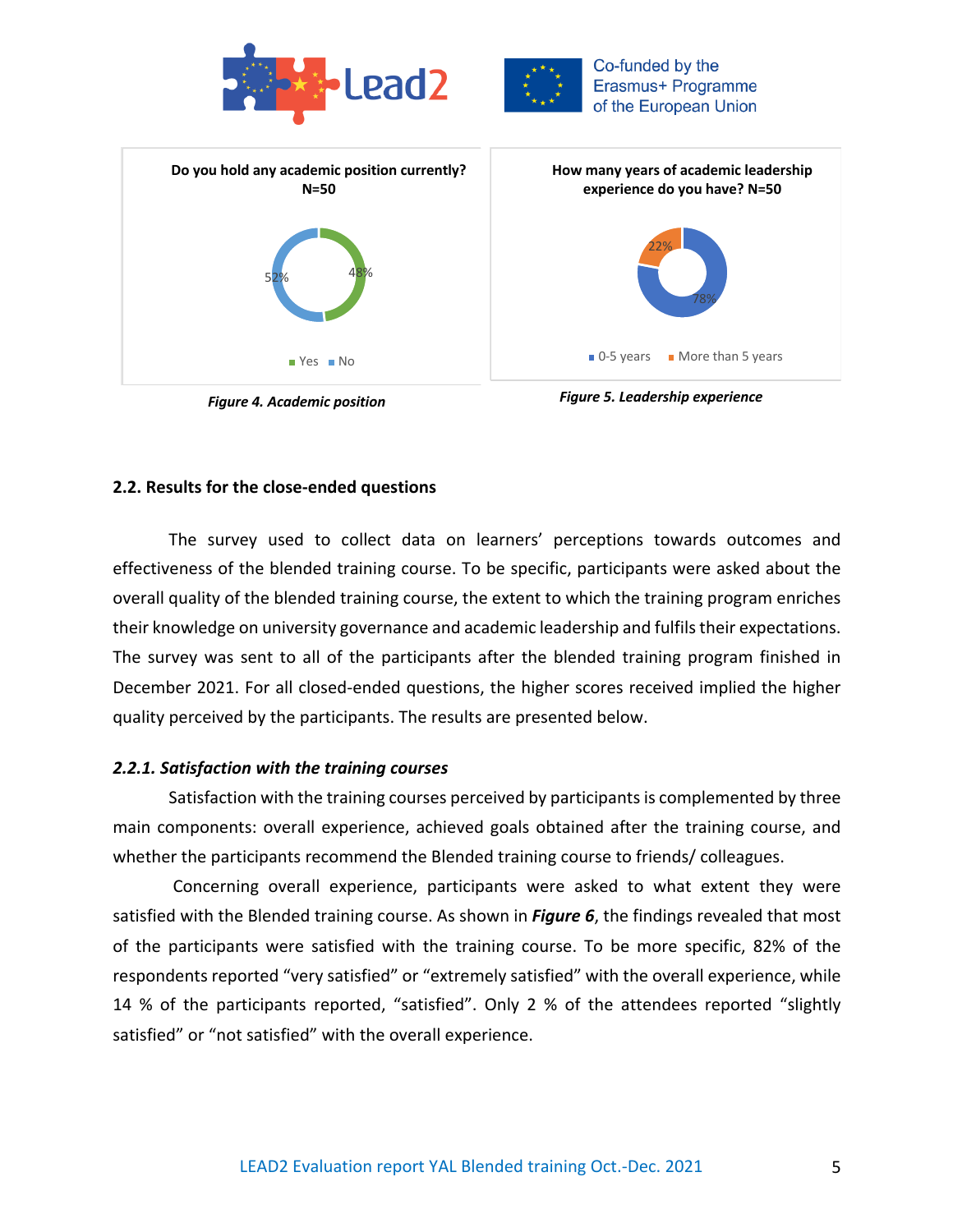







### **2.2. Results for the close-ended questions**

The survey used to collect data on learners' perceptions towards outcomes and effectiveness of the blended training course. To be specific, participants were asked about the overall quality of the blended training course, the extent to which the training program enriches their knowledge on university governance and academic leadership and fulfils their expectations. The survey was sent to all of the participants after the blended training program finished in December 2021. For all closed-ended questions, the higher scores received implied the higher quality perceived by the participants. The results are presented below.

#### *2.2.1. Satisfaction with the training courses*

Satisfaction with the training courses perceived by participants is complemented by three main components: overall experience, achieved goals obtained after the training course, and whether the participants recommend the Blended training course to friends/ colleagues.

Concerning overall experience, participants were asked to what extent they were satisfied with the Blended training course. As shown in *Figure 6*, the findings revealed that most of the participants were satisfied with the training course. To be more specific, 82% of the respondents reported "very satisfied" or "extremely satisfied" with the overall experience, while 14 % of the participants reported, "satisfied". Only 2 % of the attendees reported "slightly satisfied" or "not satisfied" with the overall experience.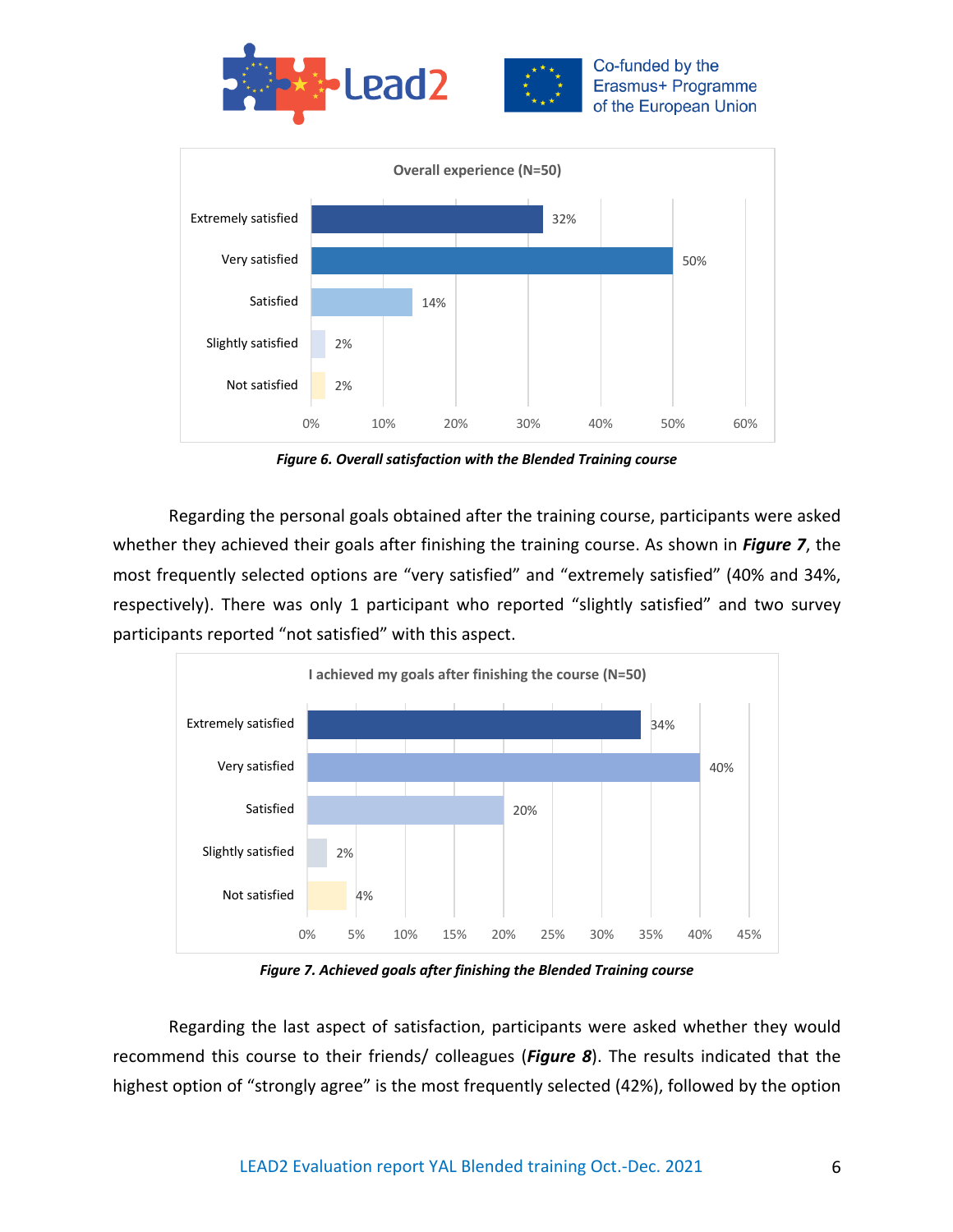



*Figure 6. Overall satisfaction with the Blended Training course*

Regarding the personal goals obtained after the training course, participants were asked whether they achieved their goals after finishing the training course. As shown in *Figure 7*, the most frequently selected options are "very satisfied" and "extremely satisfied" (40% and 34%, respectively). There was only 1 participant who reported "slightly satisfied" and two survey participants reported "not satisfied" with this aspect.



*Figure 7. Achieved goals after finishing the Blended Training course*

Regarding the last aspect of satisfaction, participants were asked whether they would recommend this course to their friends/ colleagues (*Figure 8*). The results indicated that the highest option of "strongly agree" is the most frequently selected (42%), followed by the option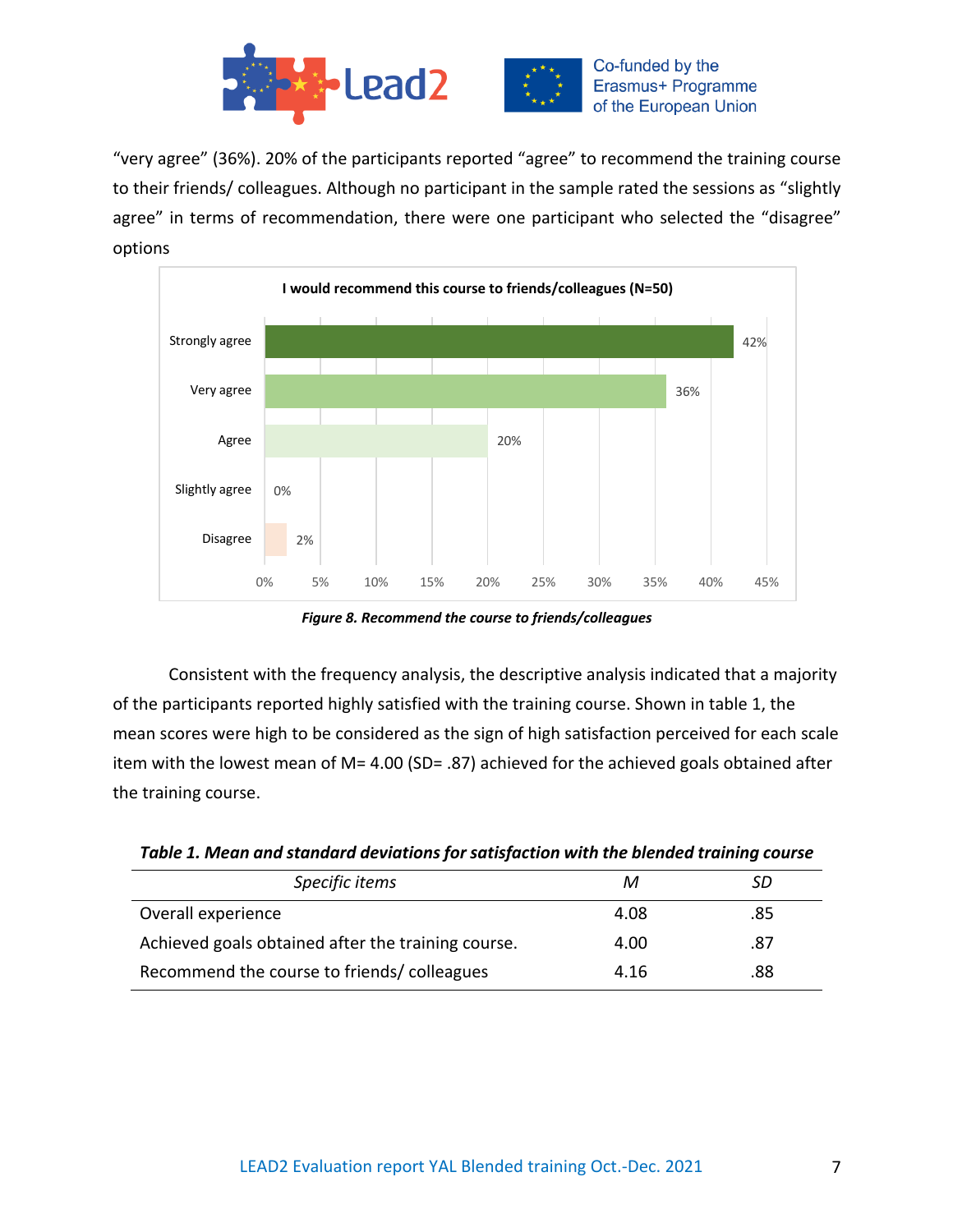

"very agree" (36%). 20% of the participants reported "agree" to recommend the training course to their friends/ colleagues. Although no participant in the sample rated the sessions as "slightly agree" in terms of recommendation, there were one participant who selected the "disagree" options



*Figure 8. Recommend the course to friends/colleagues*

Consistent with the frequency analysis, the descriptive analysis indicated that a majority of the participants reported highly satisfied with the training course. Shown in table 1, the mean scores were high to be considered as the sign of high satisfaction perceived for each scale item with the lowest mean of M= 4.00 (SD= .87) achieved for the achieved goals obtained after the training course.

| Table 1. Mean and standard deviations for satisfaction with the blended training course |  |  |
|-----------------------------------------------------------------------------------------|--|--|
|-----------------------------------------------------------------------------------------|--|--|

| Specific items                                     | м    | SD  |
|----------------------------------------------------|------|-----|
| Overall experience                                 | 4.08 | .85 |
| Achieved goals obtained after the training course. | 4.00 | .87 |
| Recommend the course to friends/colleagues         | 4.16 | .88 |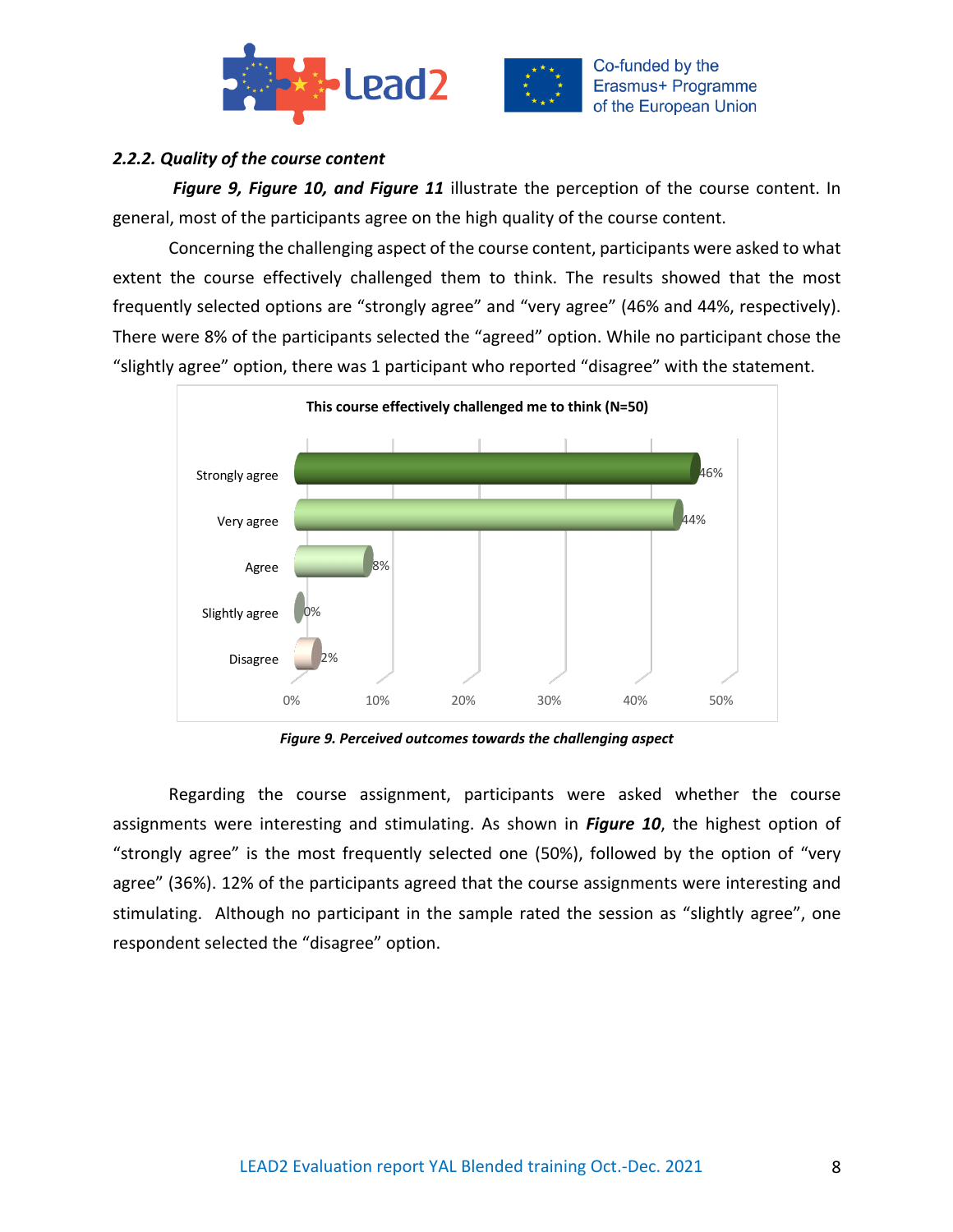



# *2.2.2. Quality of the course content*

*Figure 9, Figure 10, and Figure 11* illustrate the perception of the course content. In general, most of the participants agree on the high quality of the course content.

Concerning the challenging aspect of the course content, participants were asked to what extent the course effectively challenged them to think. The results showed that the most frequently selected options are "strongly agree" and "very agree" (46% and 44%, respectively). There were 8% of the participants selected the "agreed" option. While no participant chose the "slightly agree" option, there was 1 participant who reported "disagree" with the statement.



*Figure 9. Perceived outcomes towards the challenging aspect*

Regarding the course assignment, participants were asked whether the course assignments were interesting and stimulating. As shown in *Figure 10*, the highest option of "strongly agree" is the most frequently selected one (50%), followed by the option of "very agree" (36%). 12% of the participants agreed that the course assignments were interesting and stimulating. Although no participant in the sample rated the session as "slightly agree", one respondent selected the "disagree" option.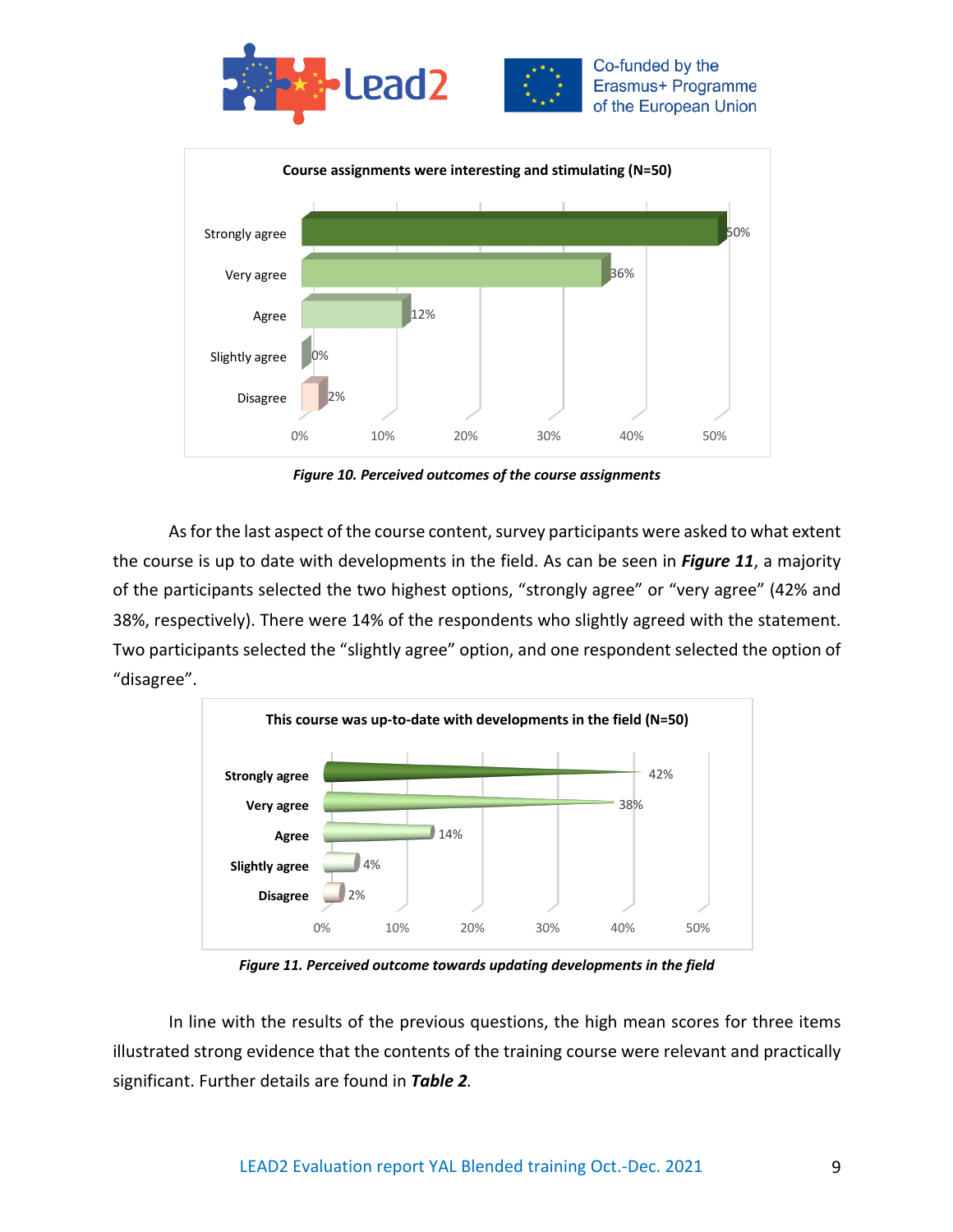



*Figure 10. Perceived outcomes of the course assignments*

As for the last aspect of the course content, survey participants were asked to what extent the course is up to date with developments in the field. As can be seen in *Figure 11*, a majority of the participants selected the two highest options, "strongly agree" or "very agree" (42% and 38%, respectively). There were 14% of the respondents who slightly agreed with the statement. Two participants selected the "slightly agree" option, and one respondent selected the option of "disagree".



*Figure 11. Perceived outcome towards updating developments in the field*

In line with the results of the previous questions, the high mean scores for three items illustrated strong evidence that the contents of the training course were relevant and practically significant. Further details are found in *Table 2.*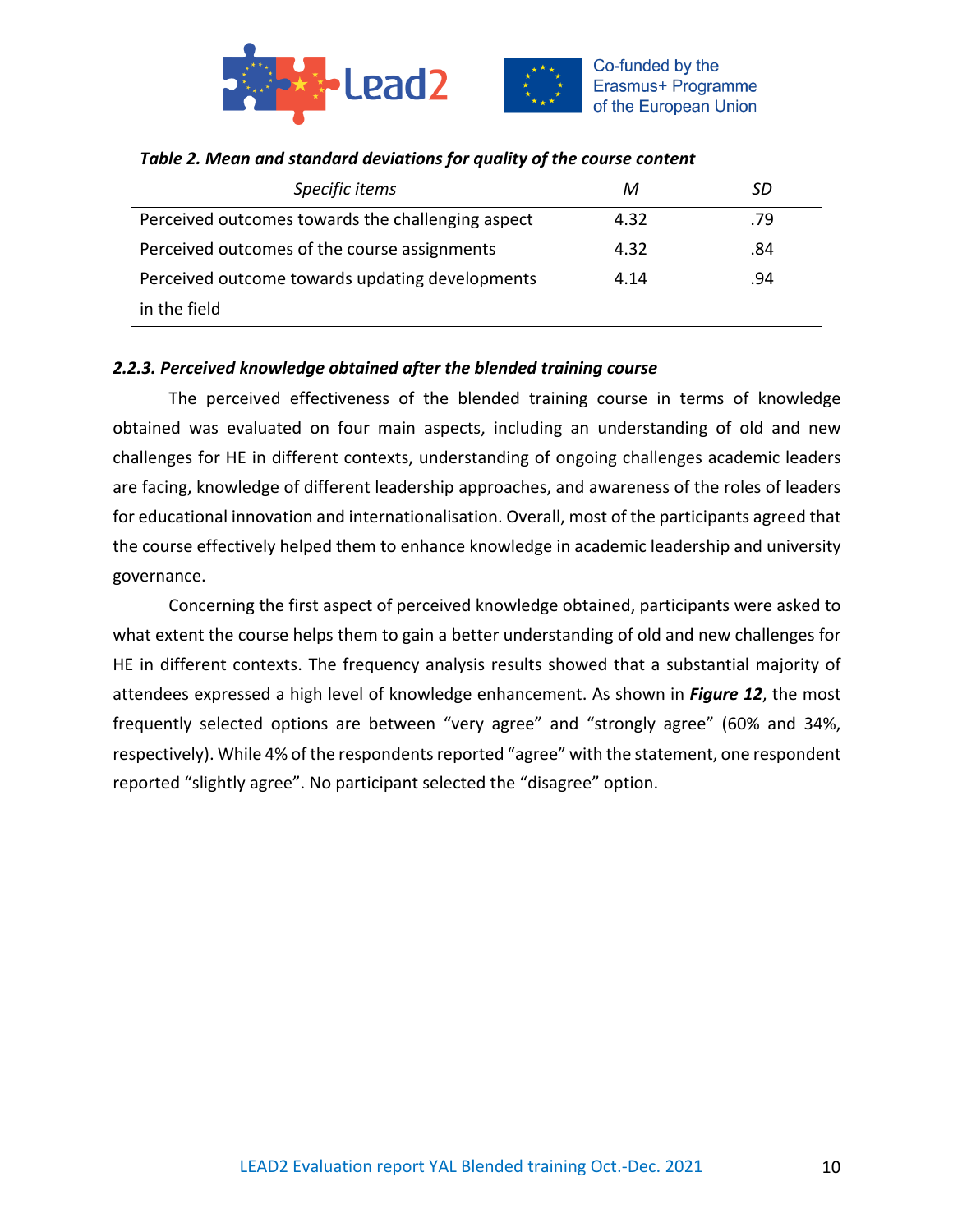



| Specific items                                    | м    | SD  |
|---------------------------------------------------|------|-----|
| Perceived outcomes towards the challenging aspect | 4.32 | .79 |
| Perceived outcomes of the course assignments      | 4.32 | .84 |
| Perceived outcome towards updating developments   | 4.14 | .94 |
| in the field                                      |      |     |

## *Table 2. Mean and standard deviations for quality of the course content*

# *2.2.3. Perceived knowledge obtained after the blended training course*

The perceived effectiveness of the blended training course in terms of knowledge obtained was evaluated on four main aspects, including an understanding of old and new challenges for HE in different contexts, understanding of ongoing challenges academic leaders are facing, knowledge of different leadership approaches, and awareness of the roles of leaders for educational innovation and internationalisation. Overall, most of the participants agreed that the course effectively helped them to enhance knowledge in academic leadership and university governance.

Concerning the first aspect of perceived knowledge obtained, participants were asked to what extent the course helps them to gain a better understanding of old and new challenges for HE in different contexts. The frequency analysis results showed that a substantial majority of attendees expressed a high level of knowledge enhancement. As shown in *Figure 12*, the most frequently selected options are between "very agree" and "strongly agree" (60% and 34%, respectively). While 4% of the respondents reported "agree" with the statement, one respondent reported "slightly agree". No participant selected the "disagree" option.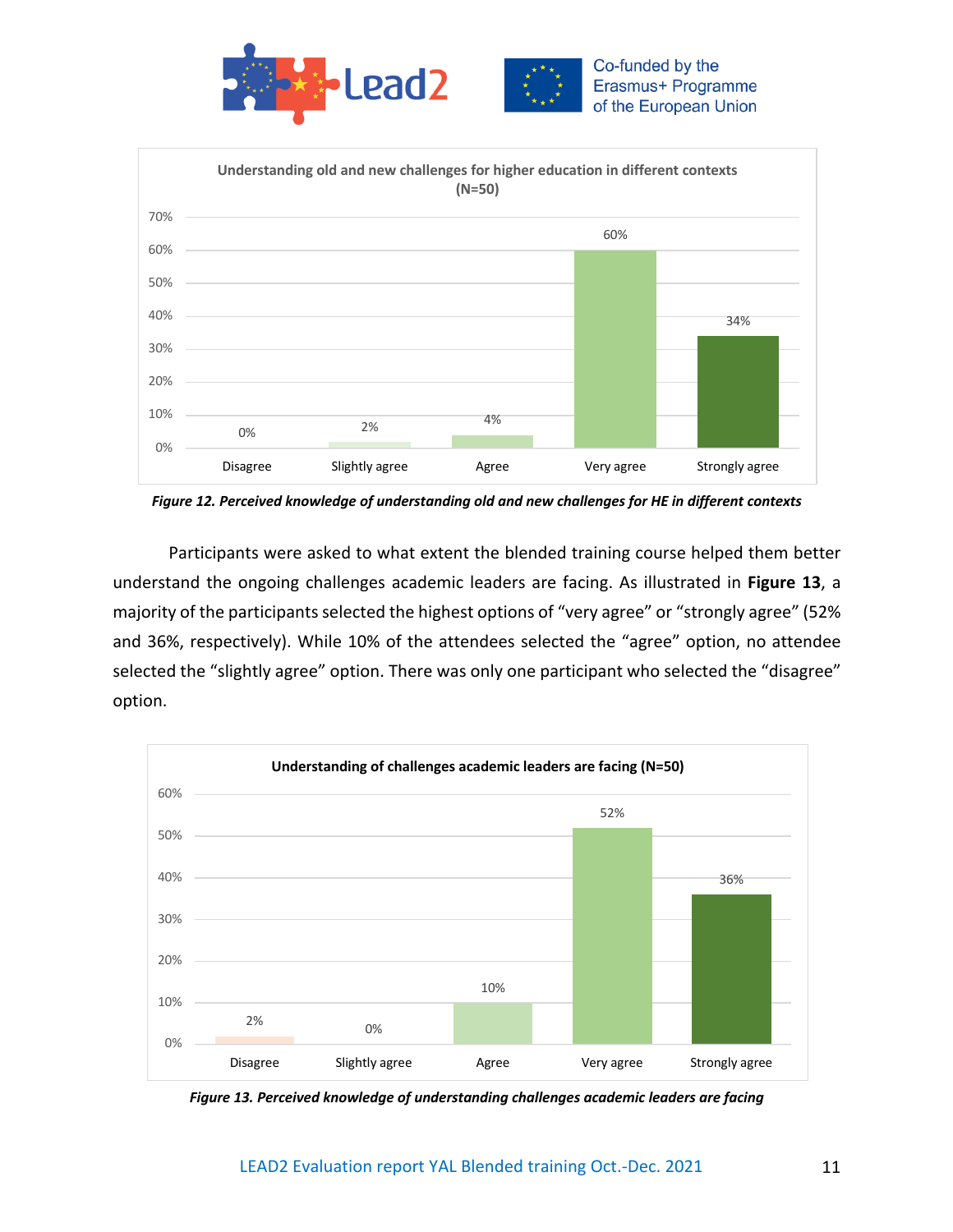



*Figure 12. Perceived knowledge of understanding old and new challenges for HE in different contexts*

Participants were asked to what extent the blended training course helped them better understand the ongoing challenges academic leaders are facing. As illustrated in **Figure 13**, a majority of the participants selected the highest options of "very agree" or "strongly agree" (52% and 36%, respectively). While 10% of the attendees selected the "agree" option, no attendee selected the "slightly agree" option. There was only one participant who selected the "disagree" option.



*Figure 13. Perceived knowledge of understanding challenges academic leaders are facing*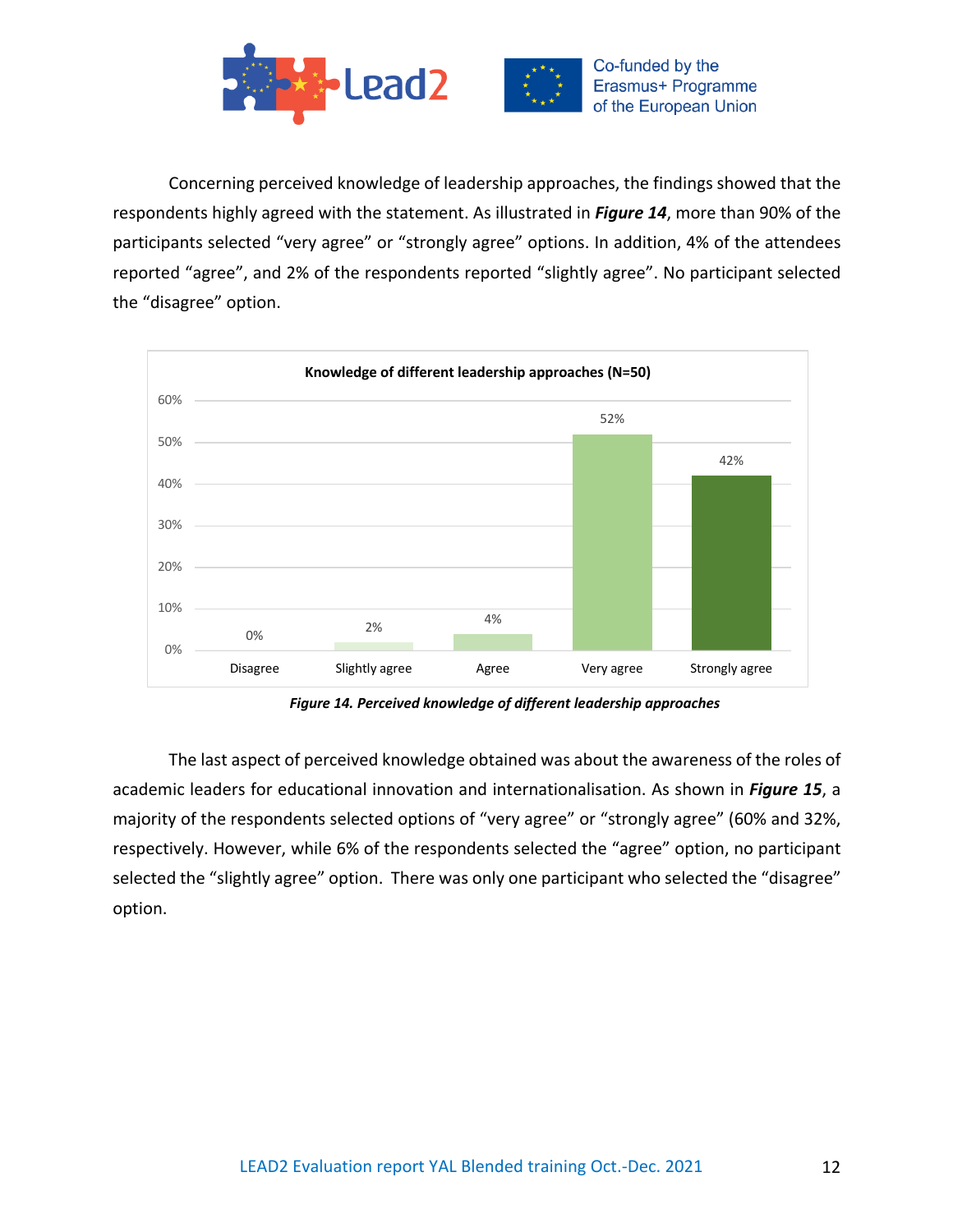



Concerning perceived knowledge of leadership approaches, the findings showed that the respondents highly agreed with the statement. As illustrated in *Figure 14*, more than 90% of the participants selected "very agree" or "strongly agree" options. In addition, 4% of the attendees reported "agree", and 2% of the respondents reported "slightly agree". No participant selected the "disagree" option.



*Figure 14. Perceived knowledge of different leadership approaches*

The last aspect of perceived knowledge obtained was about the awareness of the roles of academic leaders for educational innovation and internationalisation. As shown in *Figure 15*, a majority of the respondents selected options of "very agree" or "strongly agree" (60% and 32%, respectively. However, while 6% of the respondents selected the "agree" option, no participant selected the "slightly agree" option. There was only one participant who selected the "disagree" option.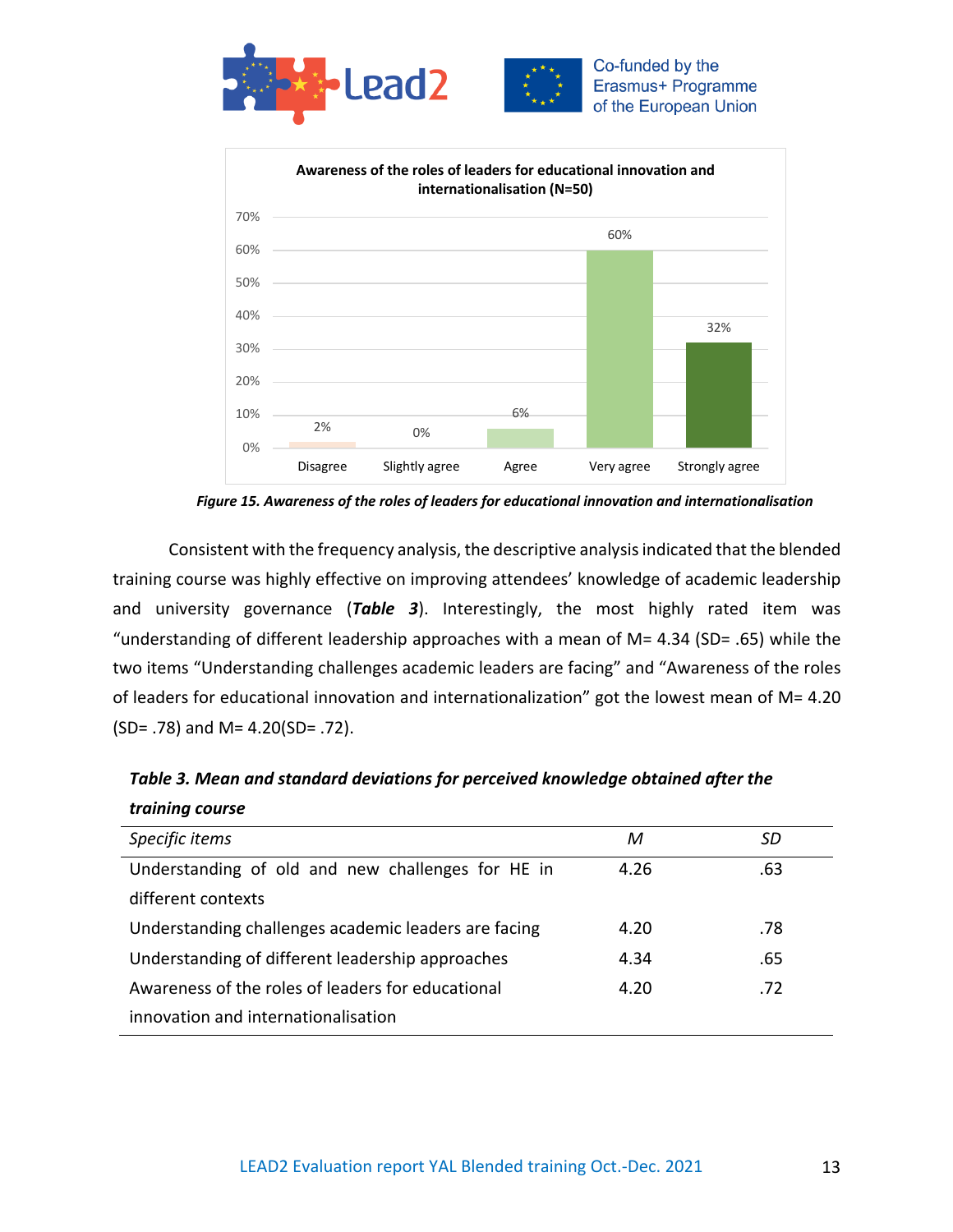



*Figure 15. Awareness of the roles of leaders for educational innovation and internationalisation*

Consistent with the frequency analysis, the descriptive analysis indicated that the blended training course was highly effective on improving attendees' knowledge of academic leadership and university governance (*Table 3*). Interestingly, the most highly rated item was "understanding of different leadership approaches with a mean of M= 4.34 (SD= .65) while the two items "Understanding challenges academic leaders are facing" and "Awareness of the roles of leaders for educational innovation and internationalization" got the lowest mean of M= 4.20 (SD= .78) and M= 4.20(SD= .72).

| М    | SD  |
|------|-----|
| 4.26 | .63 |
|      |     |
| 4.20 | .78 |
| 4.34 | .65 |
| 4.20 | .72 |
|      |     |
|      |     |

*Table 3. Mean and standard deviations for perceived knowledge obtained after the training course*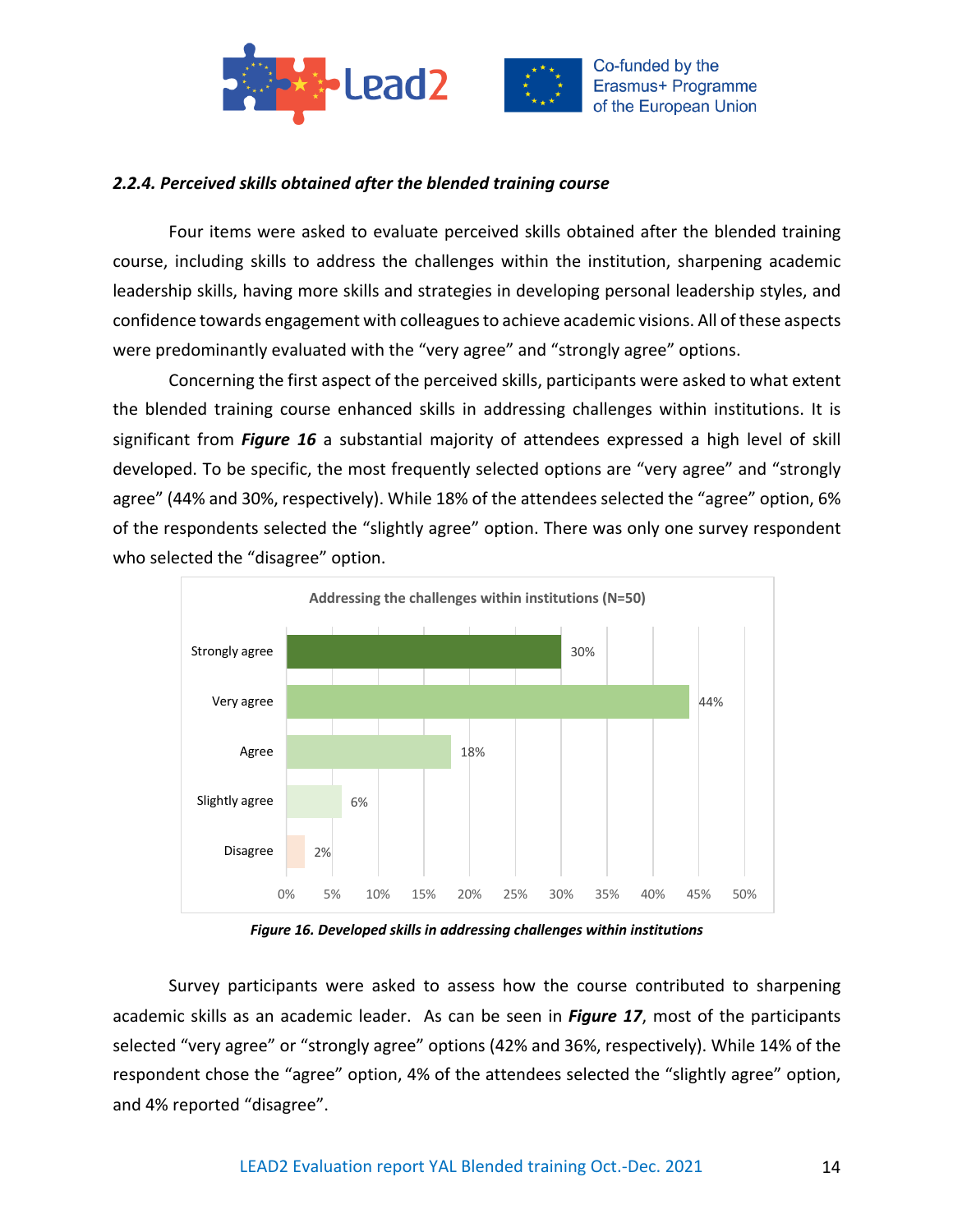



### *2.2.4. Perceived skills obtained after the blended training course*

Four items were asked to evaluate perceived skills obtained after the blended training course, including skills to address the challenges within the institution, sharpening academic leadership skills, having more skills and strategies in developing personal leadership styles, and confidence towards engagement with colleagues to achieve academic visions. All of these aspects were predominantly evaluated with the "very agree" and "strongly agree" options.

Concerning the first aspect of the perceived skills, participants were asked to what extent the blended training course enhanced skills in addressing challenges within institutions. It is significant from *Figure 16* a substantial majority of attendees expressed a high level of skill developed. To be specific, the most frequently selected options are "very agree" and "strongly agree" (44% and 30%, respectively). While 18% of the attendees selected the "agree" option, 6% of the respondents selected the "slightly agree" option. There was only one survey respondent who selected the "disagree" option.



*Figure 16. Developed skills in addressing challenges within institutions*

Survey participants were asked to assess how the course contributed to sharpening academic skills as an academic leader. As can be seen in *Figure 17*, most of the participants selected "very agree" or "strongly agree" options (42% and 36%, respectively). While 14% of the respondent chose the "agree" option, 4% of the attendees selected the "slightly agree" option, and 4% reported "disagree".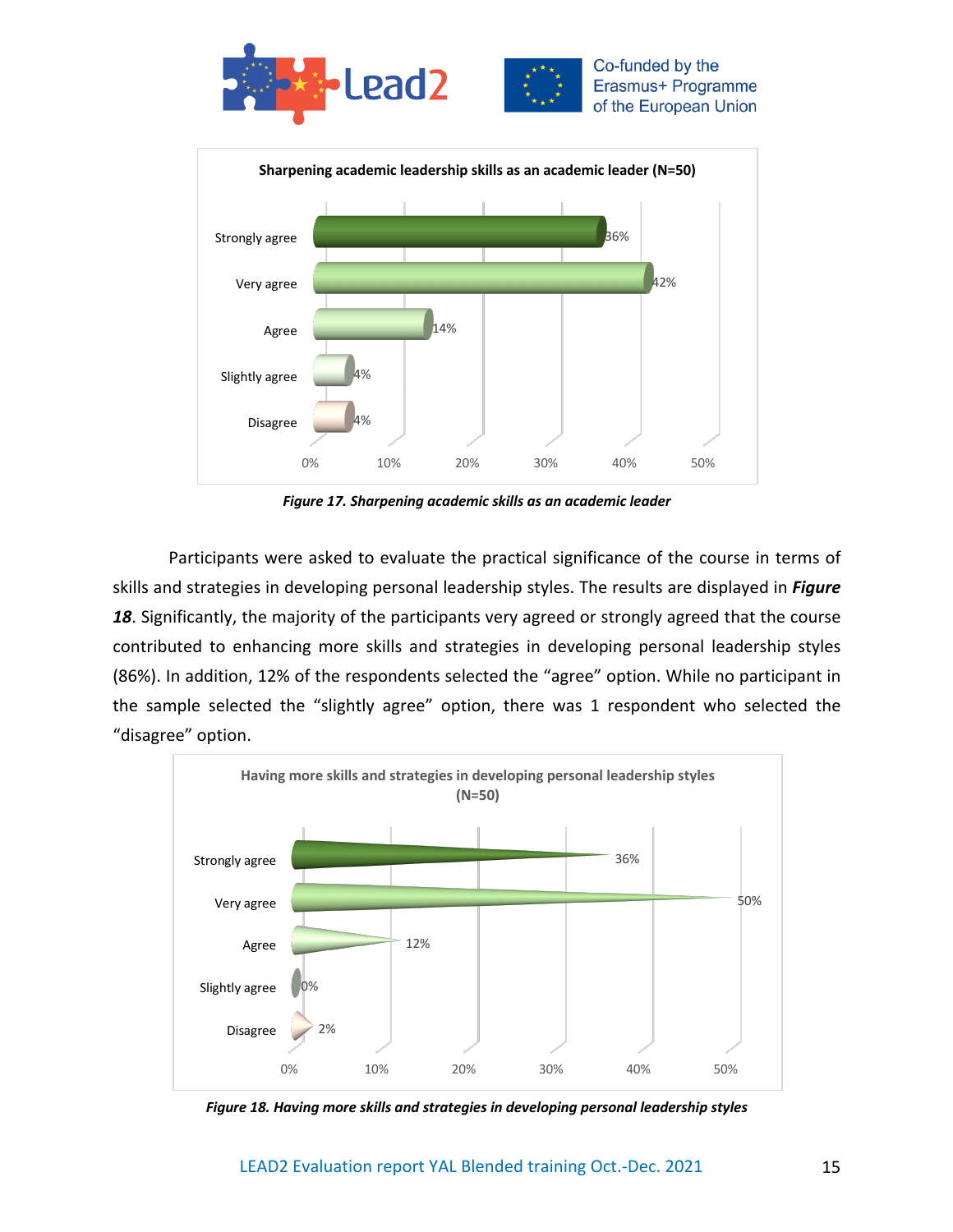



*Figure 17. Sharpening academic skills as an academic leader*

Participants were asked to evaluate the practical significance of the course in terms of skills and strategies in developing personal leadership styles. The results are displayed in *Figure*  18. Significantly, the majority of the participants very agreed or strongly agreed that the course contributed to enhancing more skills and strategies in developing personal leadership styles (86%). In addition, 12% of the respondents selected the "agree" option. While no participant in the sample selected the "slightly agree" option, there was 1 respondent who selected the "disagree" option.



*Figure 18. Having more skills and strategies in developing personal leadership styles*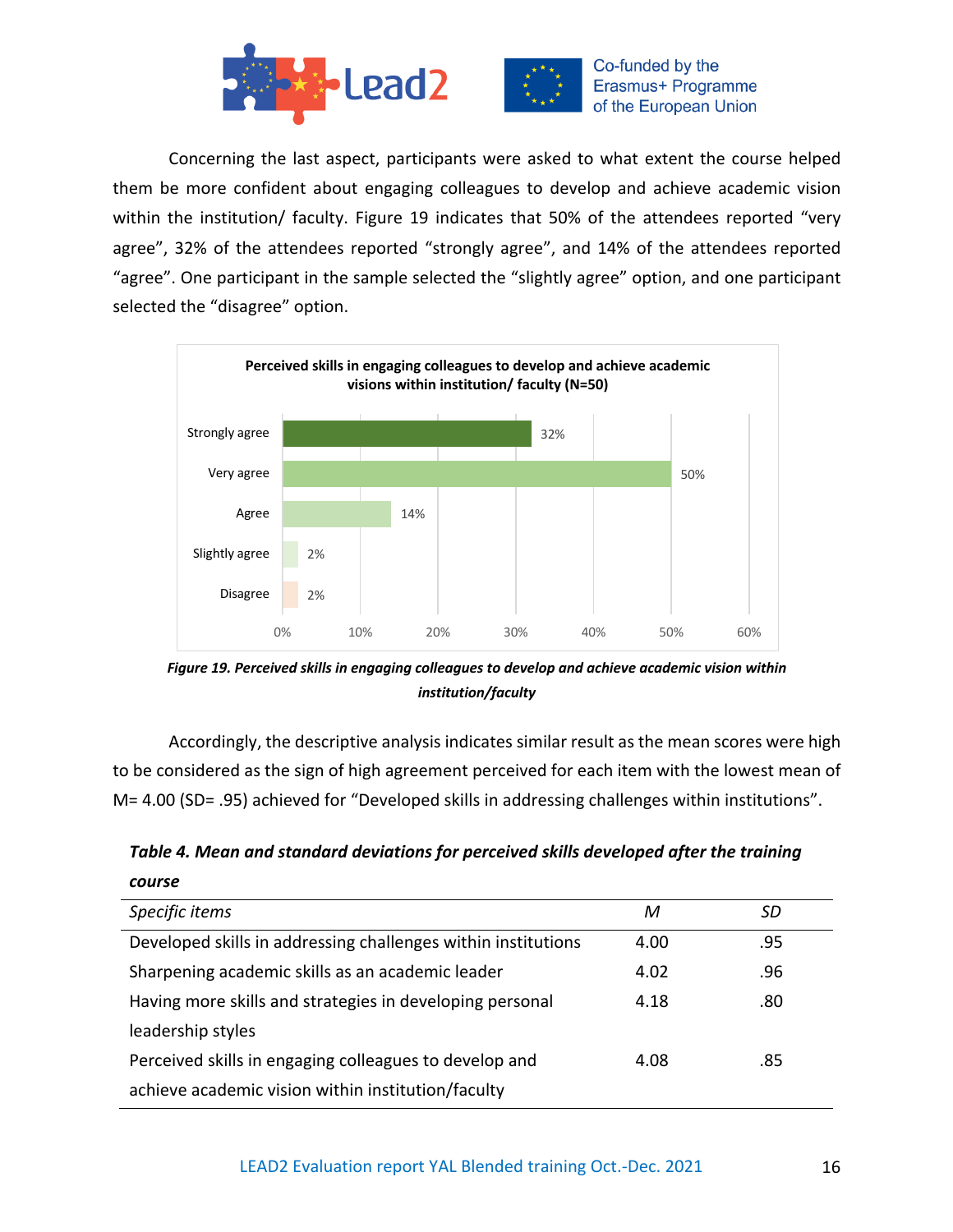



Concerning the last aspect, participants were asked to what extent the course helped them be more confident about engaging colleagues to develop and achieve academic vision within the institution/ faculty. Figure 19 indicates that 50% of the attendees reported "very agree", 32% of the attendees reported "strongly agree", and 14% of the attendees reported "agree". One participant in the sample selected the "slightly agree" option, and one participant selected the "disagree" option.



*Figure 19. Perceived skills in engaging colleagues to develop and achieve academic vision within institution/faculty*

Accordingly, the descriptive analysis indicates similar result as the mean scores were high to be considered as the sign of high agreement perceived for each item with the lowest mean of M= 4.00 (SD= .95) achieved for "Developed skills in addressing challenges within institutions".

*Table 4. Mean and standard deviations for perceived skills developed after the training course*

| Specific items                                                | М    | SD  |
|---------------------------------------------------------------|------|-----|
| Developed skills in addressing challenges within institutions | 4.00 | .95 |
| Sharpening academic skills as an academic leader              | 4.02 | .96 |
| Having more skills and strategies in developing personal      | 4.18 | .80 |
| leadership styles                                             |      |     |
| Perceived skills in engaging colleagues to develop and        | 4.08 | .85 |
| achieve academic vision within institution/faculty            |      |     |
|                                                               |      |     |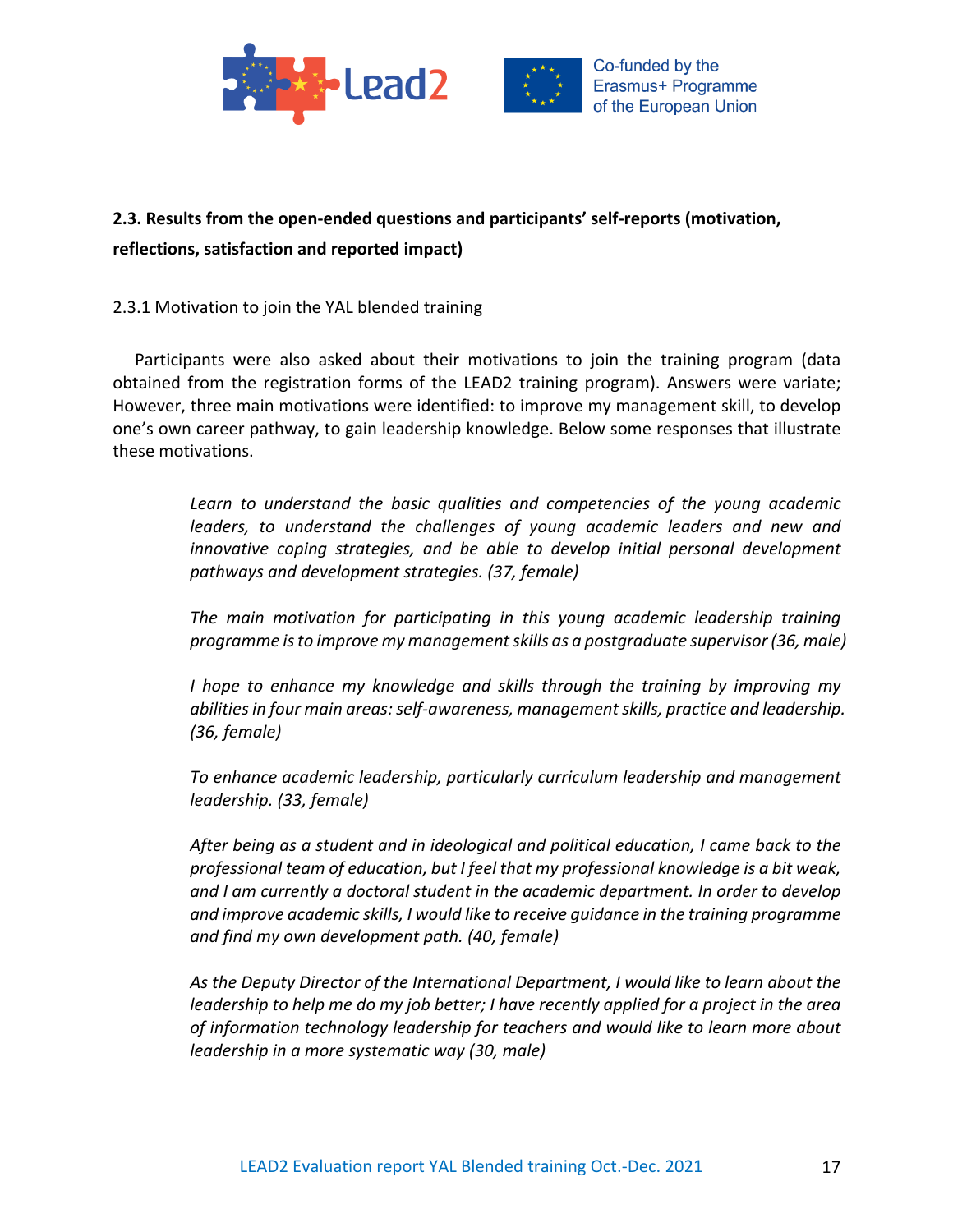



# **2.3. Results from the open-ended questions and participants' self-reports (motivation, reflections, satisfaction and reported impact)**

# 2.3.1 Motivation to join the YAL blended training

Participants were also asked about their motivations to join the training program (data obtained from the registration forms of the LEAD2 training program). Answers were variate; However, three main motivations were identified: to improve my management skill, to develop one's own career pathway, to gain leadership knowledge. Below some responses that illustrate these motivations.

> *Learn to understand the basic qualities and competencies of the young academic leaders, to understand the challenges of young academic leaders and new and innovative coping strategies, and be able to develop initial personal development pathways and development strategies. (37, female)*

> *The main motivation for participating in this young academic leadership training programme is to improve my management skills as a postgraduate supervisor (36, male)*

> *I hope to enhance my knowledge and skills through the training by improving my abilities in four main areas: self-awareness, management skills, practice and leadership. (36, female)*

> *To enhance academic leadership, particularly curriculum leadership and management leadership. (33, female)*

> *After being as a student and in ideological and political education, I came back to the professional team of education, but I feel that my professional knowledge is a bit weak, and I am currently a doctoral student in the academic department. In order to develop and improve academic skills, I would like to receive guidance in the training programme and find my own development path. (40, female)*

> *As the Deputy Director of the International Department, I would like to learn about the leadership to help me do my job better; I have recently applied for a project in the area of information technology leadership for teachers and would like to learn more about leadership in a more systematic way (30, male)*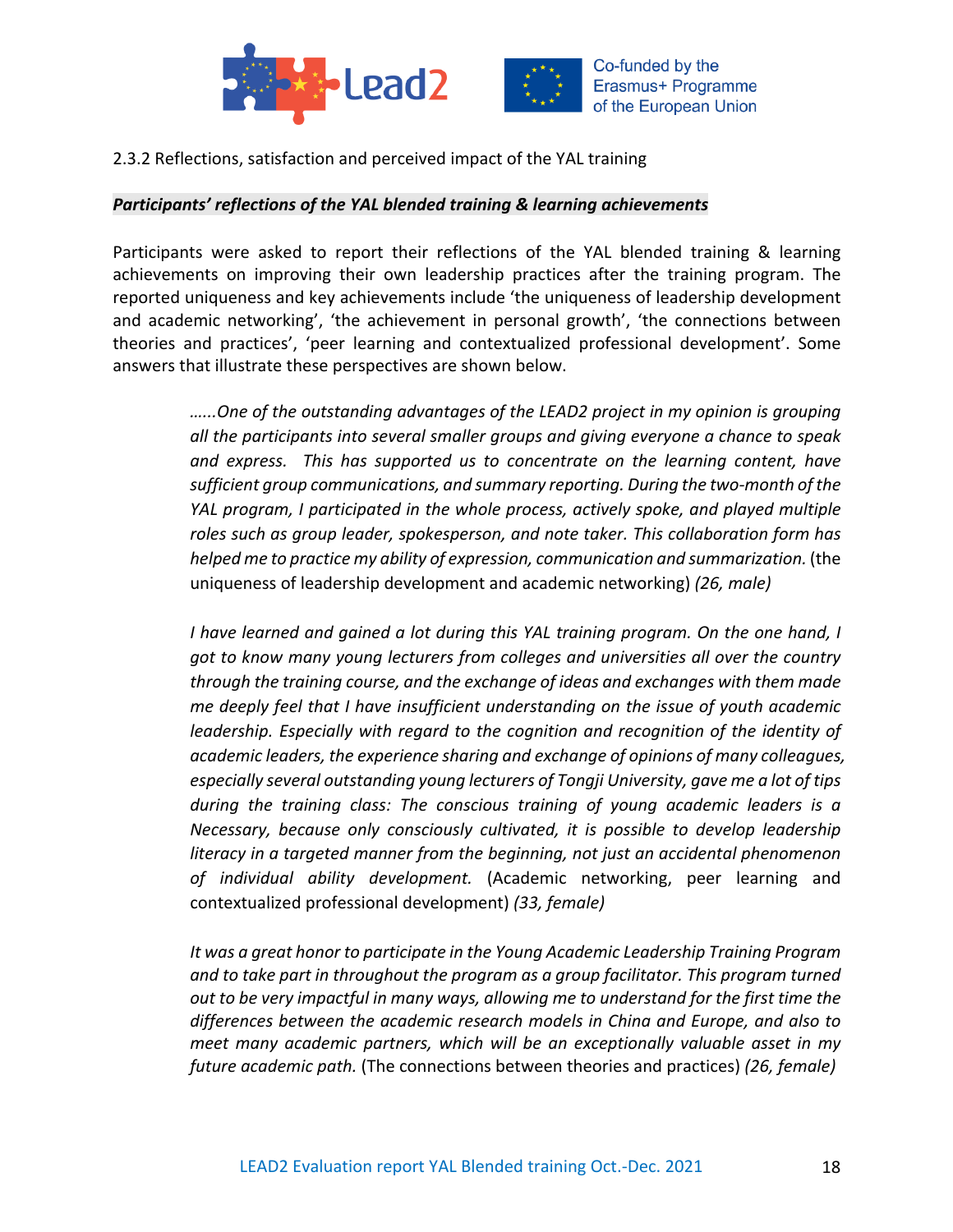



2.3.2 Reflections, satisfaction and perceived impact of the YAL training

#### *Participants' reflections of the YAL blended training & learning achievements*

Participants were asked to report their reflections of the YAL blended training & learning achievements on improving their own leadership practices after the training program. The reported uniqueness and key achievements include 'the uniqueness of leadership development and academic networking', 'the achievement in personal growth', 'the connections between theories and practices', 'peer learning and contextualized professional development'. Some answers that illustrate these perspectives are shown below.

> *…...One of the outstanding advantages of the LEAD2 project in my opinion is grouping all the participants into several smaller groups and giving everyone a chance to speak and express. This has supported us to concentrate on the learning content, have sufficient group communications, and summary reporting. During the two-month of the YAL program, I participated in the whole process, actively spoke, and played multiple roles such as group leader, spokesperson, and note taker. This collaboration form has helped me to practice my ability of expression, communication and summarization.* (the uniqueness of leadership development and academic networking) *(26, male)*

> *I have learned and gained a lot during this YAL training program. On the one hand, I got to know many young lecturers from colleges and universities all over the country through the training course, and the exchange of ideas and exchanges with them made me deeply feel that I have insufficient understanding on the issue of youth academic leadership. Especially with regard to the cognition and recognition of the identity of academic leaders, the experience sharing and exchange of opinions of many colleagues, especially several outstanding young lecturers of Tongji University, gave me a lot of tips during the training class: The conscious training of young academic leaders is a Necessary, because only consciously cultivated, it is possible to develop leadership literacy in a targeted manner from the beginning, not just an accidental phenomenon of individual ability development.* (Academic networking, peer learning and contextualized professional development) *(33, female)*

> *It was a great honor to participate in the Young Academic Leadership Training Program and to take part in throughout the program as a group facilitator. This program turned out to be very impactful in many ways, allowing me to understand for the first time the differences between the academic research models in China and Europe, and also to meet many academic partners, which will be an exceptionally valuable asset in my future academic path.* (The connections between theories and practices) *(26, female)*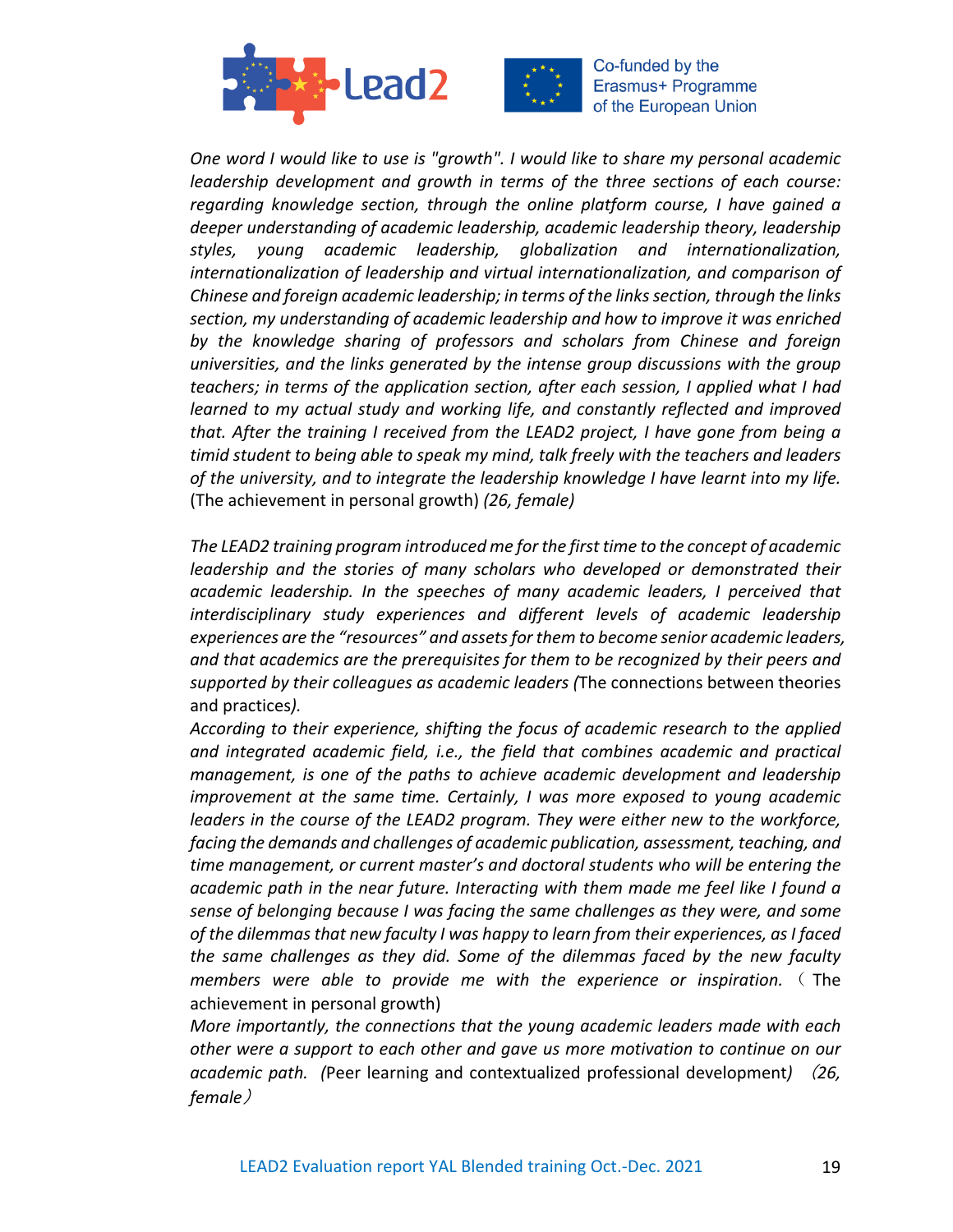



*One word I would like to use is "growth". I would like to share my personal academic leadership development and growth in terms of the three sections of each course: regarding knowledge section, through the online platform course, I have gained a deeper understanding of academic leadership, academic leadership theory, leadership styles, young academic leadership, globalization and internationalization, internationalization of leadership and virtual internationalization, and comparison of Chinese and foreign academic leadership; in terms of the links section, through the links section, my understanding of academic leadership and how to improve it was enriched by the knowledge sharing of professors and scholars from Chinese and foreign universities, and the links generated by the intense group discussions with the group teachers; in terms of the application section, after each session, I applied what I had learned to my actual study and working life, and constantly reflected and improved that. After the training I received from the LEAD2 project, I have gone from being a timid student to being able to speak my mind, talk freely with the teachers and leaders of the university, and to integrate the leadership knowledge I have learnt into my life.*  (The achievement in personal growth) *(26, female)* 

*The LEAD2 training program introduced me for the first time to the concept of academic leadership and the stories of many scholars who developed or demonstrated their academic leadership. In the speeches of many academic leaders, I perceived that interdisciplinary study experiences and different levels of academic leadership experiences are the "resources" and assets for them to become senior academic leaders, and that academics are the prerequisites for them to be recognized by their peers and supported by their colleagues as academic leaders (*The connections between theories and practices*).* 

*According to their experience, shifting the focus of academic research to the applied and integrated academic field, i.e., the field that combines academic and practical management, is one of the paths to achieve academic development and leadership improvement at the same time. Certainly, I was more exposed to young academic leaders in the course of the LEAD2 program. They were either new to the workforce, facing the demands and challenges of academic publication, assessment, teaching, and time management, or current master's and doctoral students who will be entering the academic path in the near future. Interacting with them made me feel like I found a sense of belonging because I was facing the same challenges as they were, and some of the dilemmas that new faculty I was happy to learn from their experiences, as I faced the same challenges as they did. Some of the dilemmas faced by the new faculty members were able to provide me with the experience or inspiration.* ( The achievement in personal growth)

*More importantly, the connections that the young academic leaders made with each other were a support to each other and gave us more motivation to continue on our academic path. (*Peer learning and contextualized professional development*)* (*26, female*)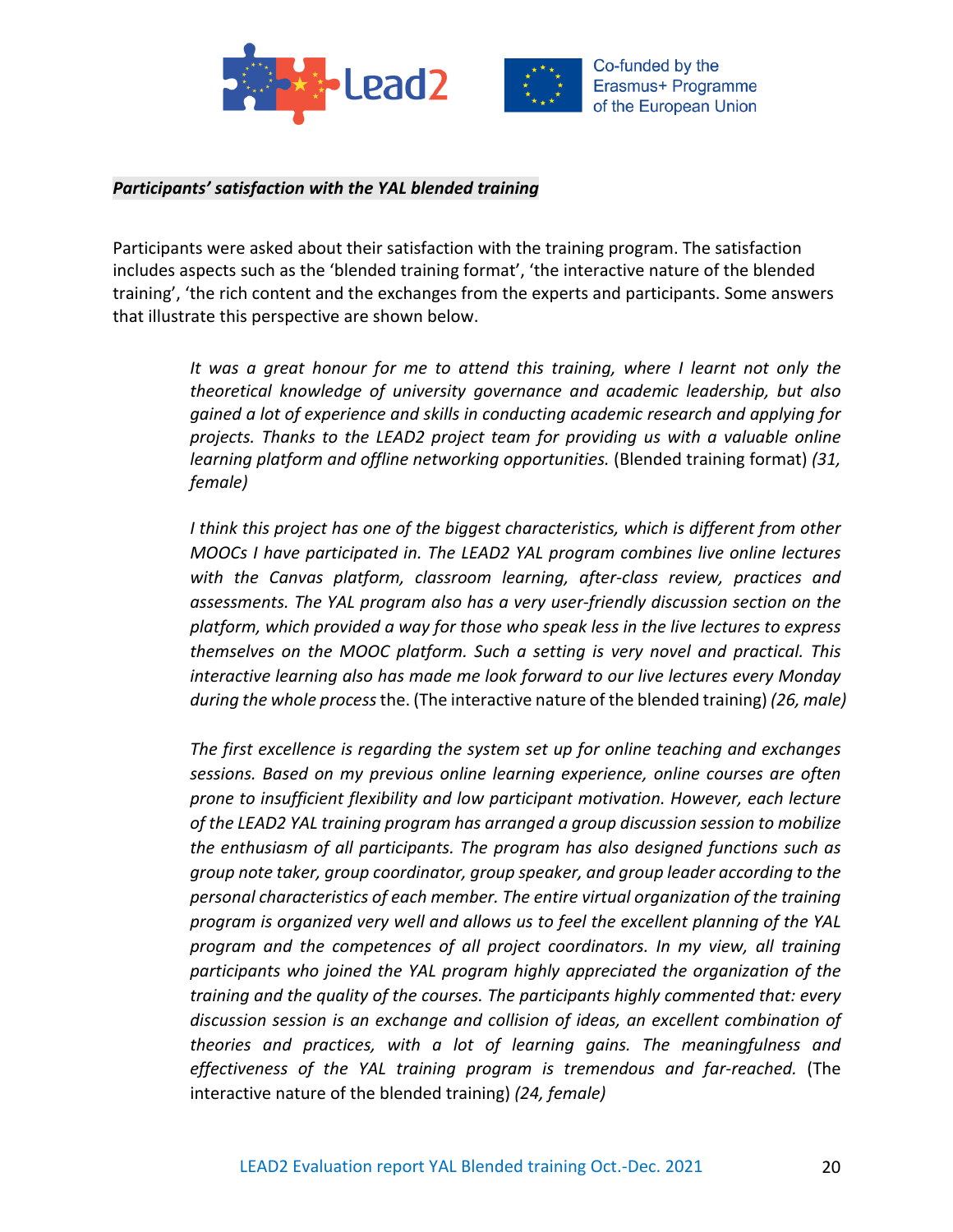



### *Participants' satisfaction with the YAL blended training*

Participants were asked about their satisfaction with the training program. The satisfaction includes aspects such as the 'blended training format', 'the interactive nature of the blended training', 'the rich content and the exchanges from the experts and participants. Some answers that illustrate this perspective are shown below.

> *It was a great honour for me to attend this training, where I learnt not only the theoretical knowledge of university governance and academic leadership, but also gained a lot of experience and skills in conducting academic research and applying for projects. Thanks to the LEAD2 project team for providing us with a valuable online learning platform and offline networking opportunities.* (Blended training format) *(31, female)*

> *I think this project has one of the biggest characteristics, which is different from other MOOCs I have participated in. The LEAD2 YAL program combines live online lectures with the Canvas platform, classroom learning, after-class review, practices and assessments. The YAL program also has a very user-friendly discussion section on the platform, which provided a way for those who speak less in the live lectures to express themselves on the MOOC platform. Such a setting is very novel and practical. This interactive learning also has made me look forward to our live lectures every Monday during the whole process* the. (The interactive nature of the blended training) *(26, male)*

> *The first excellence is regarding the system set up for online teaching and exchanges sessions. Based on my previous online learning experience, online courses are often prone to insufficient flexibility and low participant motivation. However, each lecture of the LEAD2 YAL training program has arranged a group discussion session to mobilize the enthusiasm of all participants. The program has also designed functions such as group note taker, group coordinator, group speaker, and group leader according to the personal characteristics of each member. The entire virtual organization of the training program is organized very well and allows us to feel the excellent planning of the YAL program and the competences of all project coordinators. In my view, all training participants who joined the YAL program highly appreciated the organization of the training and the quality of the courses. The participants highly commented that: every discussion session is an exchange and collision of ideas, an excellent combination of theories and practices, with a lot of learning gains. The meaningfulness and effectiveness of the YAL training program is tremendous and far-reached.* (The interactive nature of the blended training) *(24, female)*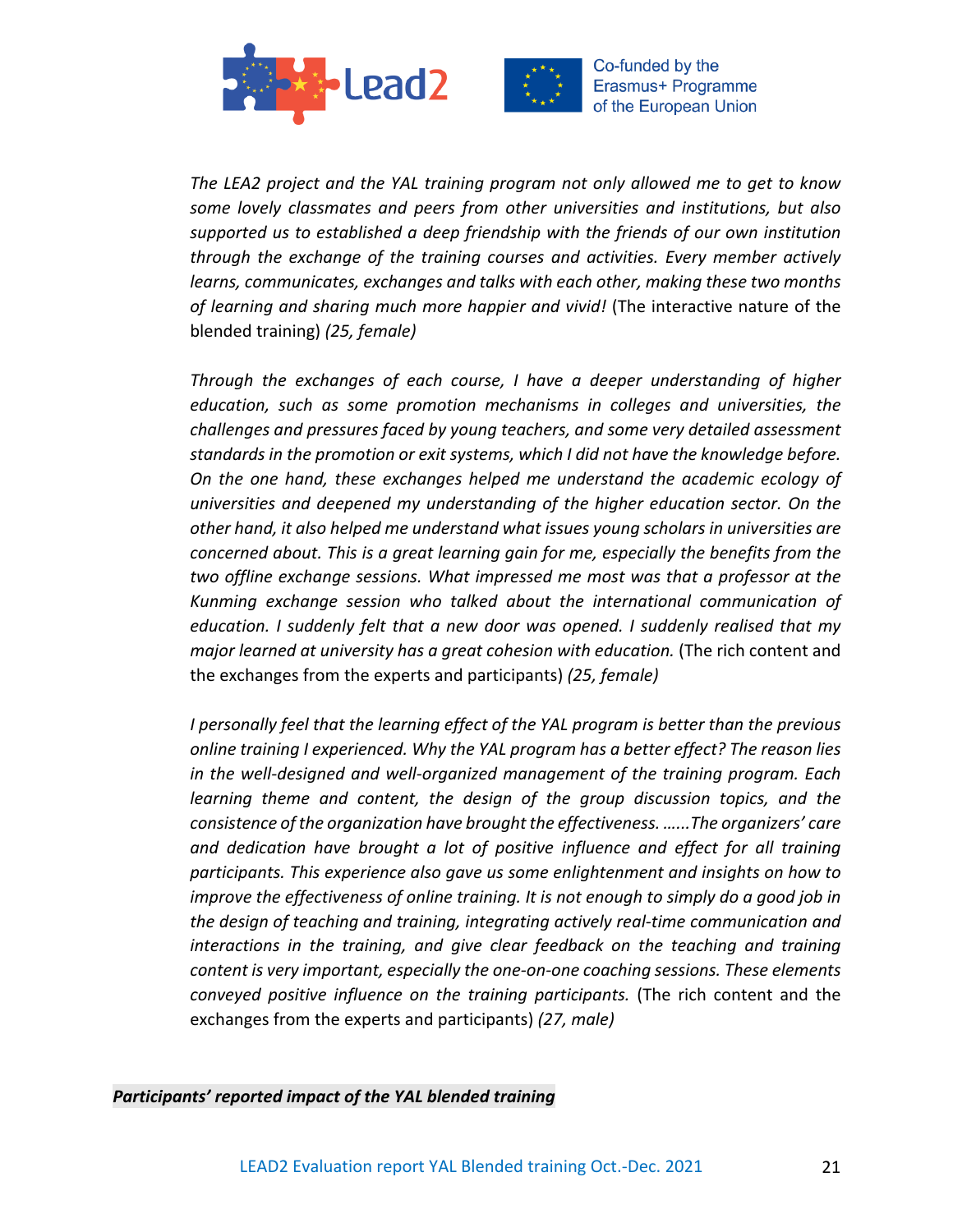



*The LEA2 project and the YAL training program not only allowed me to get to know some lovely classmates and peers from other universities and institutions, but also supported us to established a deep friendship with the friends of our own institution through the exchange of the training courses and activities. Every member actively learns, communicates, exchanges and talks with each other, making these two months of learning and sharing much more happier and vivid!* (The interactive nature of the blended training) *(25, female)*

*Through the exchanges of each course, I have a deeper understanding of higher education, such as some promotion mechanisms in colleges and universities, the challenges and pressures faced by young teachers, and some very detailed assessment standards in the promotion or exit systems, which I did not have the knowledge before. On the one hand, these exchanges helped me understand the academic ecology of universities and deepened my understanding of the higher education sector. On the other hand, it also helped me understand what issues young scholars in universities are concerned about. This is a great learning gain for me, especially the benefits from the two offline exchange sessions. What impressed me most was that a professor at the Kunming exchange session who talked about the international communication of education. I suddenly felt that a new door was opened. I suddenly realised that my major learned at university has a great cohesion with education.* (The rich content and the exchanges from the experts and participants) *(25, female)*

*I personally feel that the learning effect of the YAL program is better than the previous online training I experienced. Why the YAL program has a better effect? The reason lies in the well-designed and well-organized management of the training program. Each learning theme and content, the design of the group discussion topics, and the consistence of the organization have brought the effectiveness. …...The organizers' care and dedication have brought a lot of positive influence and effect for all training participants. This experience also gave us some enlightenment and insights on how to improve the effectiveness of online training. It is not enough to simply do a good job in the design of teaching and training, integrating actively real-time communication and interactions in the training, and give clear feedback on the teaching and training content is very important, especially the one-on-one coaching sessions. These elements conveyed positive influence on the training participants.* (The rich content and the exchanges from the experts and participants) *(27, male)*

### *Participants' reported impact of the YAL blended training*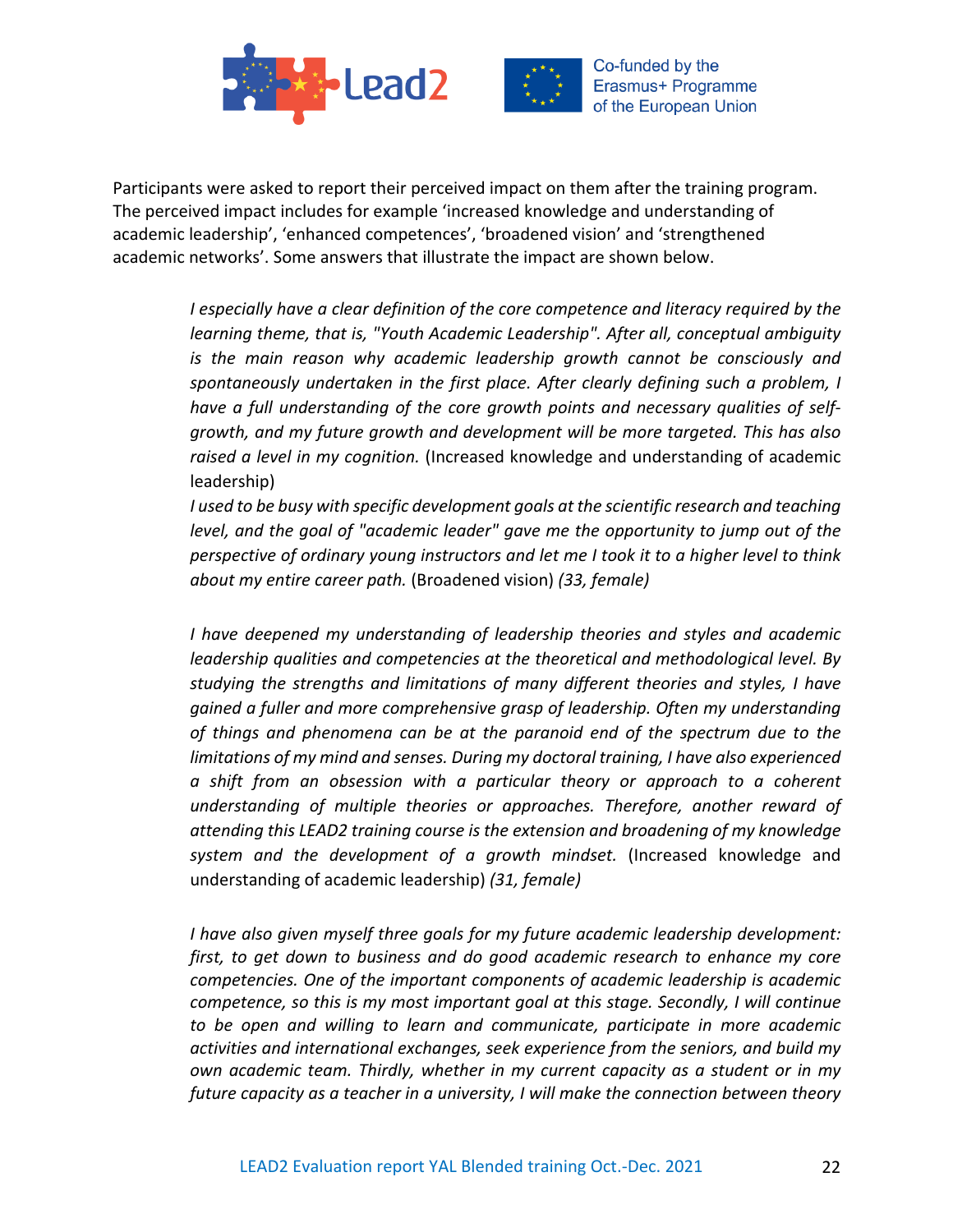



Participants were asked to report their perceived impact on them after the training program. The perceived impact includes for example 'increased knowledge and understanding of academic leadership', 'enhanced competences', 'broadened vision' and 'strengthened academic networks'. Some answers that illustrate the impact are shown below.

> *I especially have a clear definition of the core competence and literacy required by the learning theme, that is, "Youth Academic Leadership". After all, conceptual ambiguity is the main reason why academic leadership growth cannot be consciously and spontaneously undertaken in the first place. After clearly defining such a problem, I have a full understanding of the core growth points and necessary qualities of selfgrowth, and my future growth and development will be more targeted. This has also raised a level in my cognition.* (Increased knowledge and understanding of academic leadership)

> *I used to be busy with specific development goals at the scientific research and teaching level, and the goal of "academic leader" gave me the opportunity to jump out of the perspective of ordinary young instructors and let me I took it to a higher level to think about my entire career path.* (Broadened vision) *(33, female)*

> *I have deepened my understanding of leadership theories and styles and academic leadership qualities and competencies at the theoretical and methodological level. By studying the strengths and limitations of many different theories and styles, I have gained a fuller and more comprehensive grasp of leadership. Often my understanding of things and phenomena can be at the paranoid end of the spectrum due to the limitations of my mind and senses. During my doctoral training, I have also experienced a shift from an obsession with a particular theory or approach to a coherent understanding of multiple theories or approaches. Therefore, another reward of attending this LEAD2 training course is the extension and broadening of my knowledge system and the development of a growth mindset.* (Increased knowledge and understanding of academic leadership) *(31, female)*

> *I have also given myself three goals for my future academic leadership development: first, to get down to business and do good academic research to enhance my core competencies. One of the important components of academic leadership is academic competence, so this is my most important goal at this stage. Secondly, I will continue to be open and willing to learn and communicate, participate in more academic activities and international exchanges, seek experience from the seniors, and build my own academic team. Thirdly, whether in my current capacity as a student or in my future capacity as a teacher in a university, I will make the connection between theory*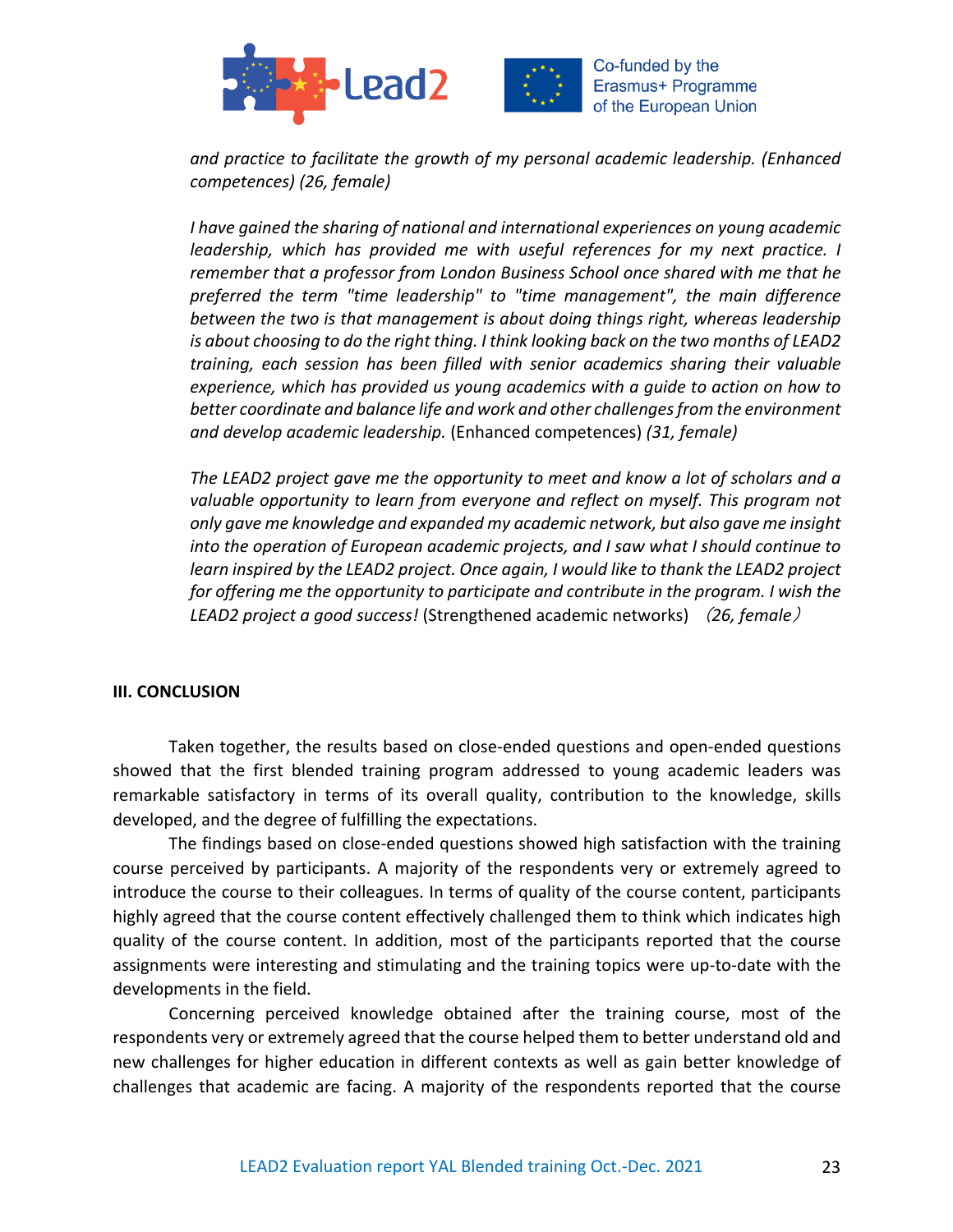



*and practice to facilitate the growth of my personal academic leadership. (Enhanced competences) (26, female)*

*I have gained the sharing of national and international experiences on young academic leadership, which has provided me with useful references for my next practice. I remember that a professor from London Business School once shared with me that he preferred the term "time leadership" to "time management", the main difference between the two is that management is about doing things right, whereas leadership is about choosing to do the right thing. I think looking back on the two months of LEAD2 training, each session has been filled with senior academics sharing their valuable experience, which has provided us young academics with a guide to action on how to better coordinate and balance life and work and other challenges from the environment and develop academic leadership.* (Enhanced competences) *(31, female)*

*The LEAD2 project gave me the opportunity to meet and know a lot of scholars and a*  valuable opportunity to learn from everyone and reflect on myself. This program not *only gave me knowledge and expanded my academic network, but also gave me insight into the operation of European academic projects, and I saw what I should continue to learn inspired by the LEAD2 project. Once again, I would like to thank the LEAD2 project for offering me the opportunity to participate and contribute in the program. I wish the LEAD2 project a good success!* (Strengthened academic networks) (*26, female*)

### **III. CONCLUSION**

Taken together, the results based on close-ended questions and open-ended questions showed that the first blended training program addressed to young academic leaders was remarkable satisfactory in terms of its overall quality, contribution to the knowledge, skills developed, and the degree of fulfilling the expectations.

The findings based on close-ended questions showed high satisfaction with the training course perceived by participants. A majority of the respondents very or extremely agreed to introduce the course to their colleagues. In terms of quality of the course content, participants highly agreed that the course content effectively challenged them to think which indicates high quality of the course content. In addition, most of the participants reported that the course assignments were interesting and stimulating and the training topics were up-to-date with the developments in the field.

Concerning perceived knowledge obtained after the training course, most of the respondents very or extremely agreed that the course helped them to better understand old and new challenges for higher education in different contexts as well as gain better knowledge of challenges that academic are facing. A majority of the respondents reported that the course